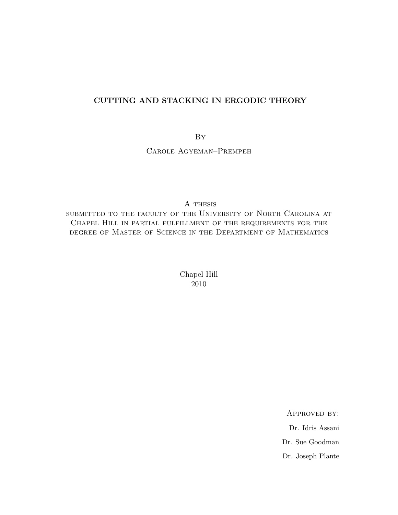#### **CUTTING AND STACKING IN ERGODIC THEORY**

By

Carole Agyeman–Prempeh

A thesis

submitted to the faculty of the University of North Carolina at Chapel Hill in partial fulfillment of the requirements for the degree of Master of Science in the Department of Mathematics

> Chapel Hill 2010

> > Approved by: Dr. Idris Assani Dr. Sue Goodman Dr. Joseph Plante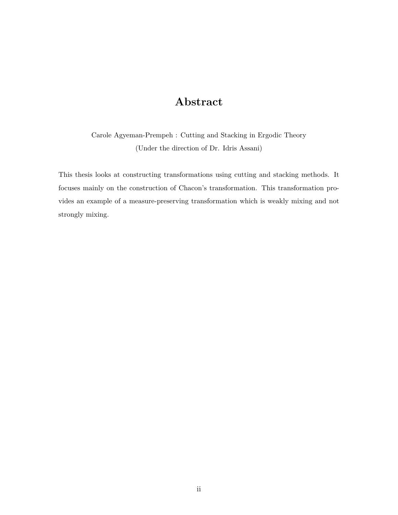### **Abstract**

Carole Agyeman-Prempeh : Cutting and Stacking in Ergodic Theory (Under the direction of Dr. Idris Assani)

This thesis looks at constructing transformations using cutting and stacking methods. It focuses mainly on the construction of Chacon's transformation. This transformation provides an example of a measure-preserving transformation which is weakly mixing and not strongly mixing.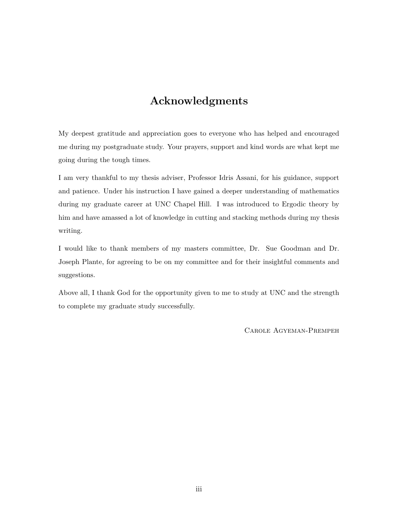### **Acknowledgments**

My deepest gratitude and appreciation goes to everyone who has helped and encouraged me during my postgraduate study. Your prayers, support and kind words are what kept me going during the tough times.

I am very thankful to my thesis adviser, Professor Idris Assani, for his guidance, support and patience. Under his instruction I have gained a deeper understanding of mathematics during my graduate career at UNC Chapel Hill. I was introduced to Ergodic theory by him and have amassed a lot of knowledge in cutting and stacking methods during my thesis writing.

I would like to thank members of my masters committee, Dr. Sue Goodman and Dr. Joseph Plante, for agreeing to be on my committee and for their insightful comments and suggestions.

Above all, I thank God for the opportunity given to me to study at UNC and the strength to complete my graduate study successfully.

Carole Agyeman-Prempeh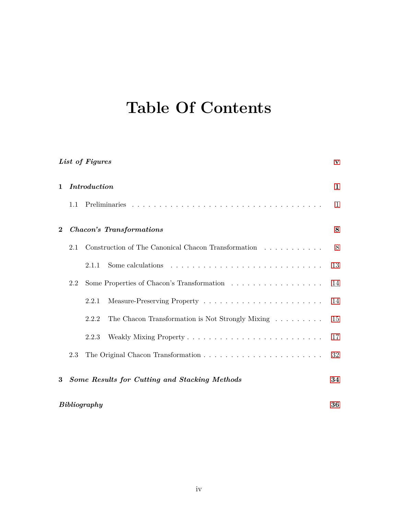# **Table Of Contents**

| List of Figures |              |                                                                            |              |
|-----------------|--------------|----------------------------------------------------------------------------|--------------|
| 1               |              | <i>Introduction</i>                                                        | $\mathbf{1}$ |
|                 | 1.1          |                                                                            | 1            |
| $\bf{2}$        |              | <b>Chacon's Transformations</b>                                            | 8            |
|                 | 2.1          | Construction of The Canonical Chacon Transformation $\ldots \ldots \ldots$ | 8            |
|                 |              | 2.1.1                                                                      | 13           |
|                 | 2.2          |                                                                            | 14           |
|                 |              | 2.2.1                                                                      | 14           |
|                 |              | The Chacon Transformation is Not Strongly Mixing<br>2.2.2                  | 15           |
|                 |              | 2.2.3                                                                      | 17           |
|                 | 2.3          |                                                                            | 32           |
| 3               |              | Some Results for Cutting and Stacking Methods                              | 34           |
|                 | Bibliography |                                                                            |              |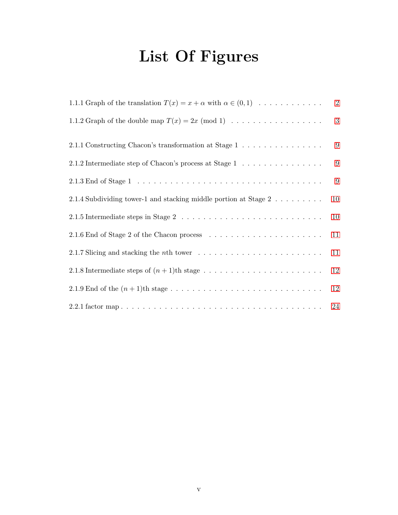# **List Of Figures**

<span id="page-4-0"></span>

| 1.1.1 Graph of the translation $T(x) = x + \alpha$ with $\alpha \in (0,1) \dots \dots \dots \dots$         | 2  |
|------------------------------------------------------------------------------------------------------------|----|
| 1.1.2 Graph of the double map $T(x) = 2x \pmod{1} \dots \dots \dots \dots \dots \dots$                     | 3  |
| 2.1.1 Constructing Chacon's transformation at Stage $1 \ldots \ldots \ldots \ldots \ldots$                 | 9  |
| 2.1.2 Intermediate step of Chacon's process at Stage $1\;\dots\;\dots\;\dots\;\dots\;\dots\;\dots$         | 9  |
|                                                                                                            | 9  |
| 2.1.4 Subdividing tower-1 and stacking middle portion at Stage 2 $\dots \dots \dots$                       | 10 |
| 2.1.5 Intermediate steps in Stage $2 \ldots \ldots \ldots \ldots \ldots \ldots \ldots \ldots \ldots$       | 10 |
|                                                                                                            | 11 |
| 2.1.7 Slicing and stacking the <i>n</i> th tower $\ldots \ldots \ldots \ldots \ldots \ldots \ldots \ldots$ | 11 |
|                                                                                                            | 12 |
|                                                                                                            | 12 |
|                                                                                                            |    |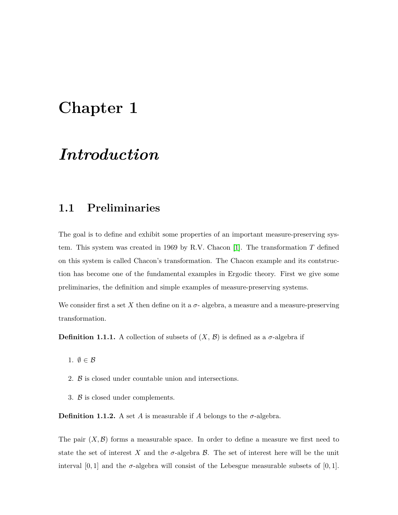## <span id="page-5-0"></span>**Chapter 1**

### *Introduction*

### <span id="page-5-1"></span>**1.1 Preliminaries**

The goal is to define and exhibit some properties of an important measure-preserving system. This system was created in 1969 by R.V. Chacon [\[1\]](#page-40-1). The transformation *T* defined on this system is called Chacon's transformation. The Chacon example and its contstruction has become one of the fundamental examples in Ergodic theory. First we give some preliminaries, the definition and simple examples of measure-preserving systems.

We consider first a set X then define on it a  $\sigma$ - algebra, a measure and a measure-preserving transformation.

**Definition 1.1.1.** A collection of subsets of  $(X, \mathcal{B})$  is defined as a  $\sigma$ -algebra if

- 1. *∅ ∈ B*
- 2. *B* is closed under countable union and intersections.
- 3. *B* is closed under complements.

**Definition 1.1.2.** A set *A* is measurable if *A* belongs to the  $\sigma$ -algebra.

The pair  $(X, \mathcal{B})$  forms a measurable space. In order to define a measure we first need to state the set of interest X and the  $\sigma$ -algebra  $\beta$ . The set of interest here will be the unit interval  $[0,1]$  and the  $\sigma$ -algebra will consist of the Lebesgue measurable subsets of  $[0,1]$ .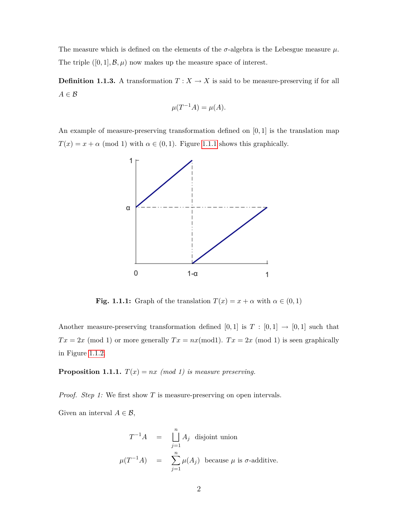The measure which is defined on the elements of the  $\sigma$ -algebra is the Lebesgue measure  $\mu$ . The triple  $([0, 1], \mathcal{B}, \mu)$  now makes up the measure space of interest.

**Definition 1.1.3.** A transformation  $T: X \to X$  is said to be measure-preserving if for all *A ∈ B*

$$
\mu(T^{-1}A) = \mu(A).
$$

An example of measure-preserving transformation defined on [0*,* 1] is the translation map  $T(x) = x + \alpha \pmod{1}$  with  $\alpha \in (0,1)$ . Figure [1.1.1](#page-6-0) shows this graphically.



<span id="page-6-0"></span>**Fig. 1.1.1:** Graph of the translation  $T(x) = x + \alpha$  with  $\alpha \in (0,1)$ 

Another measure-preserving transformation defined  $[0,1]$  is  $T : [0,1] \rightarrow [0,1]$  such that  $Tx = 2x \pmod{1}$  or more generally  $Tx = nx \pmod{1}$ .  $Tx = 2x \pmod{1}$  is seen graphically in Figure [1.1.2.](#page-7-0)

**Proposition 1.1.1.**  $T(x) = nx \pmod{1}$  is measure preserving.

*Proof. Step 1:* We first show *T* is measure-preserving on open intervals.

Given an interval  $A \in \mathcal{B}$ ,

$$
T^{-1}A = \prod_{j=1}^{n} A_j
$$
 disjoint union  

$$
\mu(T^{-1}A) = \sum_{j=1}^{n} \mu(A_j)
$$
 because  $\mu$  is  $\sigma$ -additive.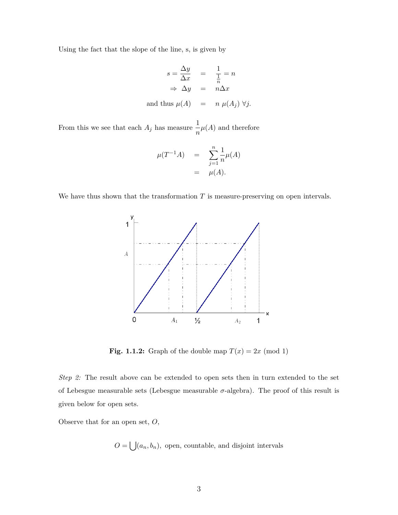Using the fact that the slope of the line, s, is given by

$$
s = \frac{\Delta y}{\Delta x} = \frac{1}{\frac{1}{n}} = n
$$
  
\n
$$
\Rightarrow \Delta y = n\Delta x
$$
  
\nand thus  $\mu(A) = n \mu(A_j) \forall j$ .

From this we see that each  $A_j$  has measure  $\frac{1}{n}\mu(A)$  and therefore

$$
\mu(T^{-1}A) = \sum_{j=1}^{n} \frac{1}{n} \mu(A) = \mu(A).
$$

We have thus shown that the transformation  $T$  is measure-preserving on open intervals.



<span id="page-7-0"></span>**Fig. 1.1.2:** Graph of the double map  $T(x) = 2x \pmod{1}$ 

*Step 2:* The result above can be extended to open sets then in turn extended to the set of Lebesgue measurable sets (Lebesgue measurable  $\sigma$ -algebra). The proof of this result is given below for open sets.

Observe that for an open set, *O*,

 $O = \bigcup (a_n, b_n)$ , open, countable, and disjoint intervals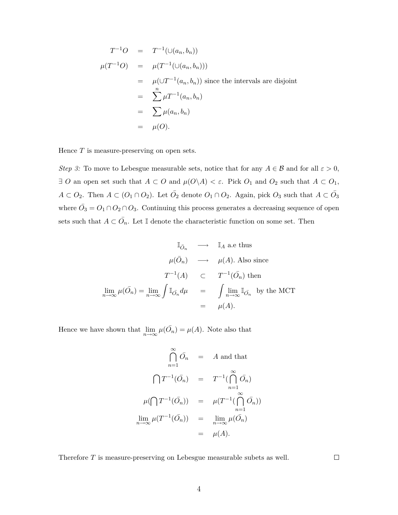$$
T^{-1}O = T^{-1}(\cup(a_n, b_n))
$$
  
\n
$$
\mu(T^{-1}O) = \mu(T^{-1}(\cup(a_n, b_n)))
$$
  
\n
$$
= \mu(\cup T^{-1}(a_n, b_n)) \text{ since the intervals are disjoint}
$$
  
\n
$$
= \sum_{n=1}^{n} \mu T^{-1}(a_n, b_n)
$$
  
\n
$$
= \sum_{n=1}^{n} \mu(a_n, b_n)
$$
  
\n
$$
= \mu(O).
$$

Hence *T* is measure-preserving on open sets.

*Step 3:* To move to Lebesgue measurable sets, notice that for any  $A \in \mathcal{B}$  and for all  $\varepsilon > 0$ , *∃ O* an open set such that  $A \subset O$  and  $\mu(O \setminus A) < \varepsilon$ . Pick  $O_1$  and  $O_2$  such that  $A \subset O_1$ ,  $A \subset O_2$ . Then  $A \subset (O_1 \cap O_2)$ . Let  $\overline{O}_2$  denote  $O_1 \cap O_2$ . Again, pick  $O_3$  such that  $A \subset \overline{O}_3$ where  $\overline{O}_3 = O_1 \cap O_2 \cap O_3$ . Continuing this process generates a decreasing sequence of open sets such that  $A \subset \overline{O}_n$ . Let I denote the characteristic function on some set. Then

$$
\mathbb{I}_{\bar{O}_n} \longrightarrow \mathbb{I}_A \text{ a.e thus}
$$
\n
$$
\mu(\bar{O}_n) \longrightarrow \mu(A). \text{ Also since}
$$
\n
$$
T^{-1}(A) \subset T^{-1}(\bar{O}_n) \text{ then}
$$
\n
$$
\lim_{n \to \infty} \mu(\bar{O}_n) = \lim_{n \to \infty} \int \mathbb{I}_{\bar{O}_n} d\mu = \int \lim_{n \to \infty} \mathbb{I}_{\bar{O}_n} \text{ by the MCT}
$$
\n
$$
= \mu(A).
$$

Hence we have shown that  $\lim_{n\to\infty} \mu(\overline{O}_n) = \mu(A)$ . Note also that

$$
\bigcap_{n=1}^{\infty} \bar{O}_n = A \text{ and that}
$$

$$
\bigcap_{n=1}^{\infty} \bar{O}_n = T^{-1}(\bigcap_{n=1}^{\infty} \bar{O}_n)
$$

$$
\mu(\bigcap T^{-1}(\bar{O}_n)) = \mu(T^{-1}(\bigcap_{n=1}^{\infty} \bar{O}_n))
$$

$$
\lim_{n \to \infty} \mu(T^{-1}(\bar{O}_n)) = \lim_{n \to \infty} \mu(\bar{O}_n)
$$

$$
= \mu(A).
$$

Therefore *T* is measure-preserving on Lebesgue measurable subets as well.

 $\Box$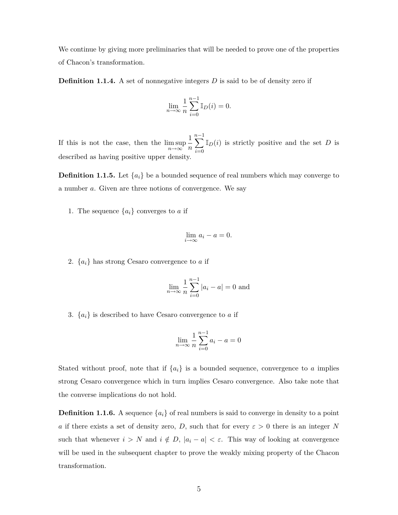We continue by giving more preliminaries that will be needed to prove one of the properties of Chacon's transformation.

**Definition 1.1.4.** A set of nonnegative integers D is said to be of density zero if

$$
\lim_{n \to \infty} \frac{1}{n} \sum_{i=0}^{n-1} \mathbb{I}_D(i) = 0.
$$

If this is not the case, then the  $\limsup_{n\to\infty}$ 1 *n n*−1<br> **V** *i*=0  $\mathbb{I}_D(i)$  is strictly positive and the set *D* is described as having positive upper density.

**Definition 1.1.5.** Let  $\{a_i\}$  be a bounded sequence of real numbers which may converge to a number *a*. Given are three notions of convergence. We say

1. The sequence  ${a_i}$  converges to *a* if

$$
\lim_{i \to \infty} a_i - a = 0.
$$

2.  ${a_i}$  has strong Cesaro convergence to *a* if

$$
\lim_{n \to \infty} \frac{1}{n} \sum_{i=0}^{n-1} |a_i - a| = 0
$$
 and

3.  ${a_i}$  is described to have Cesaro convergence to *a* if

$$
\lim_{n \to \infty} \frac{1}{n} \sum_{i=0}^{n-1} a_i - a = 0
$$

Stated without proof, note that if  $\{a_i\}$  is a bounded sequence, convergence to *a* implies strong Cesaro convergence which in turn implies Cesaro convergence. Also take note that the converse implications do not hold.

**Definition 1.1.6.** A sequence  $\{a_i\}$  of real numbers is said to converge in density to a point *a* if there exists a set of density zero, *D*, such that for every  $\varepsilon > 0$  there is an integer *N* such that whenever  $i > N$  and  $i \notin D$ ,  $|a_i - a| < \varepsilon$ . This way of looking at convergence will be used in the subsequent chapter to prove the weakly mixing property of the Chacon transformation.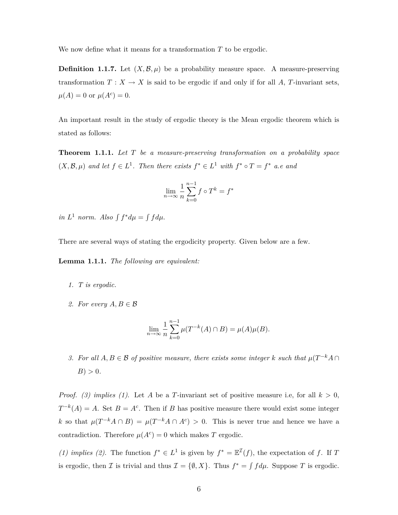We now define what it means for a transformation *T* to be ergodic.

**Definition 1.1.7.** Let  $(X, \mathcal{B}, \mu)$  be a probability measure space. A measure-preserving transformation  $T: X \to X$  is said to be ergodic if and only if for all A, T-invariant sets,  $\mu(A) = 0$  or  $\mu(A^c) = 0$ .

An important result in the study of ergodic theory is the Mean ergodic theorem which is stated as follows:

**Theorem 1.1.1.** *Let T be a measure-preserving transformation on a probability space*  $(X, \mathcal{B}, \mu)$  and let  $f \in L^1$ . Then there exists  $f^* \in L^1$  with  $f^* \circ T = f^*$  a.e and

$$
\lim_{n \to \infty} \frac{1}{n} \sum_{k=0}^{n-1} f \circ T^k = f^*
$$

 $in L<sup>1</sup>$  *norm. Also*  $\int f^* d\mu = \int f d\mu$ .

There are several ways of stating the ergodicity property. Given below are a few.

**Lemma 1.1.1.** *The following are equivalent:*

- *1. T is ergodic.*
- 2. For every  $A, B \in \mathcal{B}$

$$
\lim_{n \to \infty} \frac{1}{n} \sum_{k=0}^{n-1} \mu(T^{-k}(A) \cap B) = \mu(A)\mu(B).
$$

*3.* For all  $A, B \in \mathcal{B}$  of positive measure, there exists some integer  $k$  such that  $\mu(T^{-k}A \cap T)$  $B$ )  $> 0$ *.* 

*Proof.* (3) implies (1). Let A be a T-invariant set of positive measure i.e, for all  $k > 0$ ,  $T^{-k}(A) = A$ . Set  $B = A^c$ . Then if *B* has positive measure there would exist some integer *k* so that  $\mu(T^{-k}A \cap B) = \mu(T^{-k}A \cap A^{c}) > 0$ . This is never true and hence we have a contradiction. Therefore  $\mu(A^c) = 0$  which makes *T* ergodic.

*(1) implies (2)*. The function  $f^* \in L^1$  is given by  $f^* = \mathbb{E}^{\mathcal{I}}(f)$ , the expectation of *f*. If *T* is ergodic, then *I* is trivial and thus  $\mathcal{I} = \{\emptyset, X\}$ . Thus  $f^* = \int f d\mu$ . Suppose *T* is ergodic.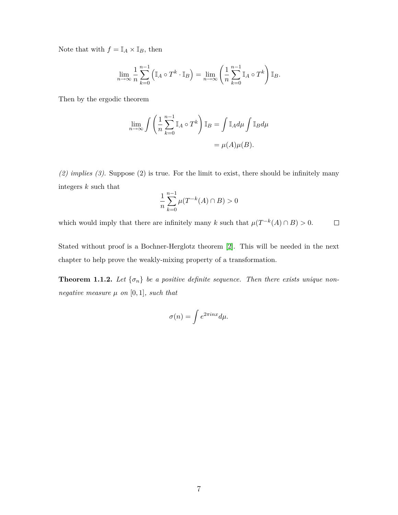Note that with  $f = \mathbb{I}_A \times \mathbb{I}_B$ , then

$$
\lim_{n \to \infty} \frac{1}{n} \sum_{k=0}^{n-1} \left( \mathbb{I}_A \circ T^k \cdot \mathbb{I}_B \right) = \lim_{n \to \infty} \left( \frac{1}{n} \sum_{k=0}^{n-1} \mathbb{I}_A \circ T^k \right) \mathbb{I}_B.
$$

Then by the ergodic theorem

$$
\lim_{n \to \infty} \int \left( \frac{1}{n} \sum_{k=0}^{n-1} \mathbb{I}_A \circ T^k \right) \mathbb{I}_B = \int \mathbb{I}_A d\mu \int \mathbb{I}_B d\mu
$$

$$
= \mu(A)\mu(B).
$$

*(2) implies (3)*. Suppose (2) is true. For the limit to exist, there should be infinitely many integers *k* such that

$$
\frac{1}{n}\sum_{k=0}^{n-1}\mu(T^{-k}(A)\cap B) > 0
$$

which would imply that there are infinitely many *k* such that  $\mu(T^{-k}(A) \cap B) > 0$ .  $\Box$ 

Stated without proof is a Bochner-Herglotz theorem [\[2\]](#page-40-2). This will be needed in the next chapter to help prove the weakly-mixing property of a transformation.

**Theorem 1.1.2.** Let  $\{\sigma_n\}$  be a positive definite sequence. Then there exists unique non*negative measure*  $\mu$  *on* [0, 1]*, such that* 

$$
\sigma(n) = \int e^{2\pi i n x} d\mu.
$$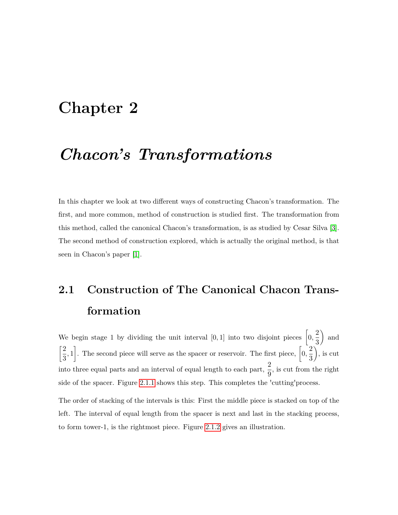### <span id="page-12-0"></span>**Chapter 2**

### *Chacon's Transformations*

In this chapter we look at two different ways of constructing Chacon's transformation. The first, and more common, method of construction is studied first. The transformation from this method, called the canonical Chacon's transformation, is as studied by Cesar Silva [\[3\]](#page-40-3). The second method of construction explored, which is actually the original method, is that seen in Chacon's paper [\[1\]](#page-40-1).

# <span id="page-12-1"></span>**2.1 Construction of The Canonical Chacon Transformation**

We begin stage 1 by dividing the unit interval [0, 1] into two disjoint pieces  $\left[0, \frac{2}{5}\right]$ 3  $\Big)$  and  $\lceil 2 \rceil$  $\left[2, 1\right]$ . The second piece will serve as the spacer or reservoir. The first piece,  $\left[0, \frac{2}{3}\right]$ 3  $\big)$ , is cut into three equal parts and an interval of equal length to each part,  $\frac{2}{9}$ , is cut from the right side of the spacer. Figure [2.1.1](#page-13-0) shows this step. This completes the 'cutting'process.

The order of stacking of the intervals is this: First the middle piece is stacked on top of the left. The interval of equal length from the spacer is next and last in the stacking process, to form tower-1, is the rightmost piece. Figure [2.1.2](#page-13-1) gives an illustration.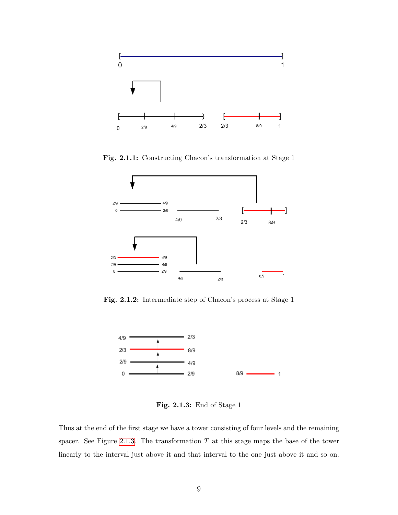

<span id="page-13-0"></span>**Fig. 2.1.1:** Constructing Chacon's transformation at Stage 1



<span id="page-13-1"></span>**Fig. 2.1.2:** Intermediate step of Chacon's process at Stage 1



<span id="page-13-2"></span>**Fig. 2.1.3:** End of Stage 1

Thus at the end of the first stage we have a tower consisting of four levels and the remaining spacer. See Figure [2.1.3.](#page-13-2) The transformation  $T$  at this stage maps the base of the tower linearly to the interval just above it and that interval to the one just above it and so on.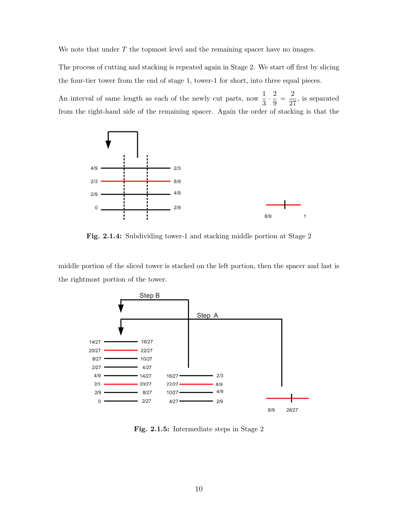We note that under *T* the topmost level and the remaining spacer have no images.

The process of cutting and stacking is repeated again in Stage 2. We start off first by slicing the four-tier tower from the end of stage 1, tower-1 for short, into three equal pieces.

An interval of same length as each of the newly cut parts, now  $\frac{1}{3} \cdot \frac{2}{9}$  $\frac{2}{9} = \frac{2}{27}$  $\frac{2}{27}$ , is separated from the right-hand side of the remaining spacer. Again the order of stacking is that the



<span id="page-14-0"></span>**Fig. 2.1.4:** Subdividing tower-1 and stacking middle portion at Stage 2

middle portion of the sliced tower is stacked on the left portion, then the spacer and last is the rightmost portion of the tower.



<span id="page-14-1"></span>**Fig. 2.1.5:** Intermediate steps in Stage 2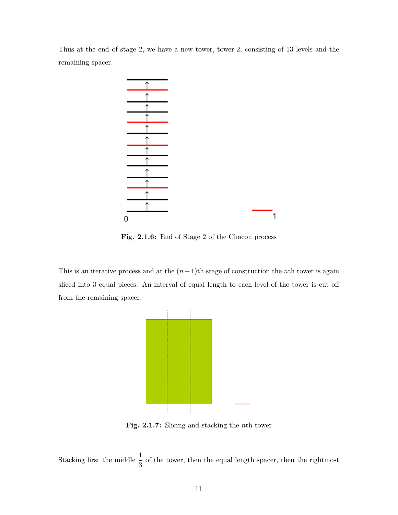Thus at the end of stage 2, we have a new tower, tower-2, consisting of 13 levels and the remaining spacer.



<span id="page-15-0"></span>**Fig. 2.1.6:** End of Stage 2 of the Chacon process

This is an iterative process and at the  $(n+1)$ <sup>th</sup> stage of construction the *n*<sup>th</sup> tower is again sliced into 3 equal pieces. An interval of equal length to each level of the tower is cut off from the remaining spacer.



<span id="page-15-1"></span>**Fig. 2.1.7:** Slicing and stacking the *n*th tower

Stacking first the middle  $\frac{1}{3}$  of the tower, then the equal length spacer, then the rightmost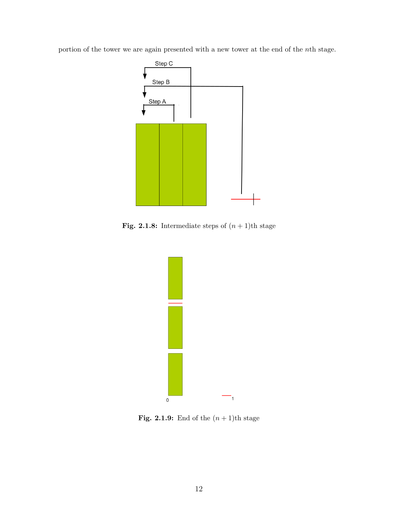portion of the tower we are again presented with a new tower at the end of the *n*th stage.



**Fig. 2.1.8:** Intermediate steps of  $(n + 1)$ th stage

<span id="page-16-0"></span>

<span id="page-16-1"></span>**Fig. 2.1.9:** End of the  $(n + 1)$ th stage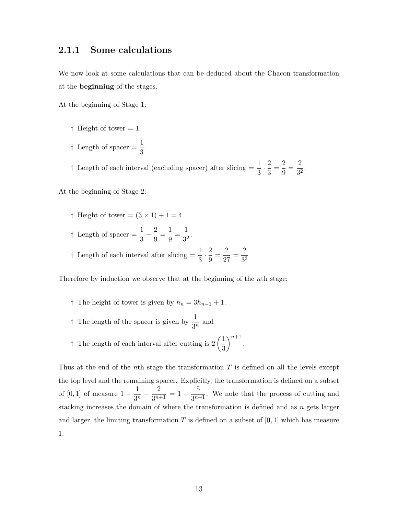#### <span id="page-17-0"></span>**2.1.1 Some calculations**

We now look at some calculations that can be deduced about the Chacon transformation at the **beginning** of the stages.

At the beginning of Stage 1:

*†* Height of tower = 1. <sup>†</sup> Length of spacer =  $\frac{1}{3}$ .

<sup>†</sup> Length of each interval (excluding spacer) after slicing  $=$   $\frac{1}{3} \cdot \frac{2}{3}$  $\frac{2}{3} = \frac{2}{9}$  $\frac{2}{9} = \frac{2}{3^2}$  $\frac{2}{3^2}$ .

At the beginning of Stage 2:

*†* Height of tower =  $(3 \times 1) + 1 = 4$ . *†* Length of spacer =  $\frac{1}{3} - \frac{2}{9}$  $\frac{2}{9} = \frac{1}{9}$  $\frac{1}{9} = \frac{1}{3^2}$  $rac{1}{3^2}$ . <sup>†</sup> Length of each interval after slicing  $=$   $\frac{1}{3} \cdot \frac{2}{9}$  $\frac{2}{9} = \frac{2}{27}$  $rac{2}{27} = \frac{2}{3^5}$ 

Therefore by induction we observe that at the beginning of the *n*th stage:

- *†* The height of tower is given by  $h_n = 3h_{n-1} + 1$ .
- <sup>†</sup> The length of the spacer is given by  $\frac{1}{3^n}$  and
- <sup>†</sup> The length of each interval after cutting is  $2\left(\frac{1}{2}\right)$ 3  $\bigg)^{n+1}$ .

Thus at the end of the *n*th stage the transformation *T* is defined on all the levels except the top level and the remaining spacer. Explicitly, the transformation is defined on a subset of [0, 1] of measure  $1 - \frac{1}{2r}$  $rac{1}{3^n} - \frac{2}{3^{n-1}}$  $\frac{2}{3^{n+1}} = 1 - \frac{5}{3^{n+1}}$  $\frac{3}{3^{n+1}}$ . We note that the process of cutting and stacking increases the domain of where the transformation is defined and as *n* gets larger and larger, the limiting transformation  $T$  is defined on a subset of  $[0,1]$  which has measure 1.

3 3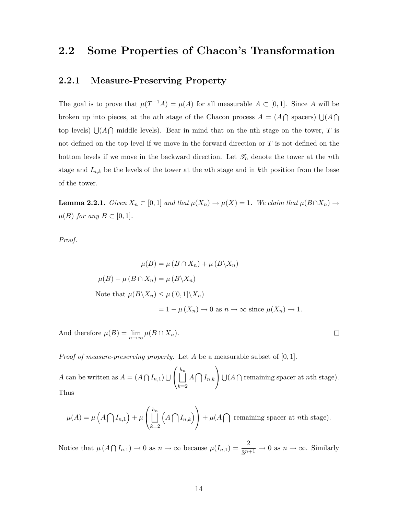### <span id="page-18-0"></span>**2.2 Some Properties of Chacon's Transformation**

#### <span id="page-18-1"></span>**2.2.1 Measure-Preserving Property**

The goal is to prove that  $\mu(T^{-1}A) = \mu(A)$  for all measurable  $A \subset [0,1]$ . Since A will be broken up into pieces, at the *n*th stage of the Chacon process  $A = (A \cap \text{spaces}) \cup (A \cap \text{spaces})$ top levels)  $\bigcup (A \cap A)$  middle levels). Bear in mind that on the nth stage on the tower, *T* is not defined on the top level if we move in the forward direction or *T* is not defined on the bottom levels if we move in the backward direction. Let  $\mathcal{T}_n$  denote the tower at the *n*th stage and *In,k* be the levels of the tower at the *n*th stage and in *k*th position from the base of the tower.

**Lemma 2.2.1.** *Given*  $X_n \subset [0,1]$  *and that*  $\mu(X_n) \to \mu(X) = 1$ *. We claim that*  $\mu(B \cap X_n) \to \mu(X)$  $\mu(B)$  *for any*  $B \subset [0,1]$ *.* 

*Proof.*

$$
\mu(B) = \mu(B \cap X_n) + \mu(B \setminus X_n)
$$
  
\n
$$
\mu(B) - \mu(B \cap X_n) = \mu(B \setminus X_n)
$$
  
\nNote that 
$$
\mu(B \setminus X_n) \le \mu([0,1] \setminus X_n)
$$
  
\n
$$
= 1 - \mu(X_n) \to 0 \text{ as } n \to \infty \text{ since } \mu(X_n) \to 1.
$$

 $\Box$ 

And therefore  $\mu(B) = \lim_{n \to \infty} \mu(B \cap X_n)$ .

*Proof of measure-preserving property.* Let *A* be a measurable subset of [0*,* 1].

*A* can be written as  $A = (A \cap I_{n,1}) \cup$  $\sqrt{ }$  $\Box$ *hn k*=2  $A \bigcap I_{n,k}$  $\setminus$  $\bigcup (A \cap \text{remaining space at } n\text{th stage}).$ Thus

$$
\mu(A) = \mu\left(A\bigcap I_{n,1}\right) + \mu\left(\bigsqcup_{k=2}^{h_n}\left(A\bigcap I_{n,k}\right)\right) + \mu(A\bigcap \text{ remaining space at } n\text{th stage}).
$$

Notice that  $\mu(A \cap I_{n,1}) \to 0$  as  $n \to \infty$  because  $\mu(I_{n,1}) = \frac{2}{3^{n+1}} \to 0$  as  $n \to \infty$ . Similarly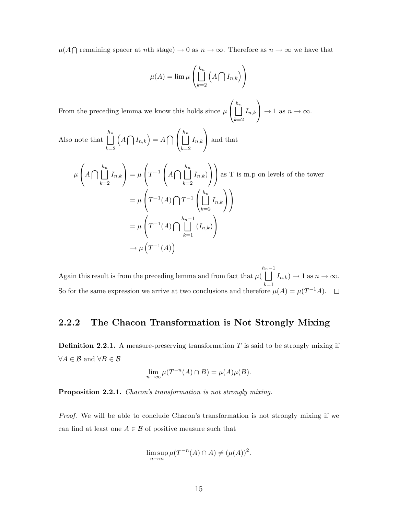$\mu(A \cap \text{remaining space } \text{rat } n \text{th stage}) \to 0 \text{ as } n \to \infty. \text{ Therefore as } n \to \infty \text{ we have that }$ 

$$
\mu(A) = \lim \mu \left( \bigsqcup_{k=2}^{h_n} \left( A \bigcap I_{n,k} \right) \right)
$$

From the preceding lemma we know this holds since *µ*  $\sqrt{ }$  $\Box$ *hn k*=2  $I_{n,k}$  $\setminus$  $\rightarrow$  1 as  $n \rightarrow \infty$ .

Also note that  $\vert \vert$ *hn k*=2  $\left(A\bigcap I_{n,k}\right)=A\bigcap$  $\sqrt{ }$  $\Box$ *hn k*=2  $I_{n,k}$  $\setminus$ and that

$$
\mu\left(A\bigcap\bigcup_{k=2}^{h_n} I_{n,k}\right) = \mu\left(T^{-1}\left(A\bigcap\bigcup_{k=2}^{h_n} I_{n,k}\right)\right) \text{ as } T \text{ is m.p on levels of the tower}
$$
\n
$$
= \mu\left(T^{-1}(A)\bigcap T^{-1}\left(\bigcup_{k=2}^{h_n} I_{n,k}\right)\right)
$$
\n
$$
= \mu\left(T^{-1}(A)\bigcap\bigcup_{k=1}^{h_n-1} (I_{n,k})\right)
$$
\n
$$
\to \mu\left(T^{-1}(A)\right)
$$

Again this result is from the preceding lemma and from fact that *µ*(  $\iint_{R_n}^{h_n-1} I_{n,k}$   $\to 1$  as  $n \to \infty$ . *k*=1 So for the same expression we arrive at two conclusions and therefore  $\mu(A) = \mu(T^{-1}A)$ .

#### <span id="page-19-0"></span>**2.2.2 The Chacon Transformation is Not Strongly Mixing**

**Definition 2.2.1.** A measure-preserving transformation T is said to be strongly mixing if *∀A ∈ B* and *∀B ∈ B*

$$
\lim_{n \to \infty} \mu(T^{-n}(A) \cap B) = \mu(A)\mu(B).
$$

**Proposition 2.2.1.** *Chacon's transformation is not strongly mixing.*

*Proof.* We will be able to conclude Chacon's transformation is not strongly mixing if we can find at least one  $A \in \mathcal{B}$  of positive measure such that

$$
\limsup_{n \to \infty} \mu(T^{-n}(A) \cap A) \neq (\mu(A))^2.
$$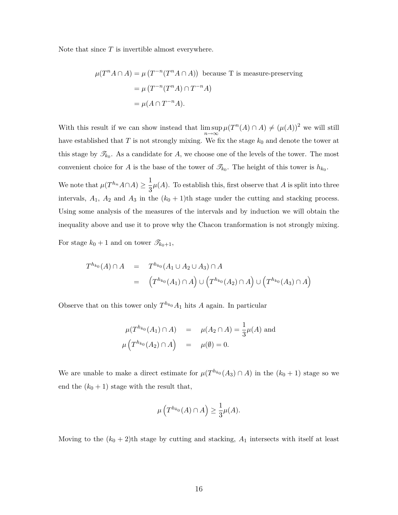Note that since *T* is invertible almost everywhere.

$$
\mu(T^n A \cap A) = \mu(T^{-n}(T^n A \cap A))
$$
 because T is measure-preserving  
= 
$$
\mu(T^{-n}(T^n A) \cap T^{-n} A)
$$
  
= 
$$
\mu(A \cap T^{-n} A).
$$

With this result if we can show instead that  $\limsup_{n\to\infty} \mu(T^n(A) \cap A) \neq (\mu(A))^2$  we will still have established that  $T$  is not strongly mixing. We fix the stage  $k_0$  and denote the tower at this stage by  $\mathscr{T}_{k_0}$ . As a candidate for *A*, we choose one of the levels of the tower. The most convenient choice for *A* is the base of the tower of  $\mathscr{T}_{k_0}$ . The height of this tower is  $h_{k_0}$ .

We note that  $\mu(T^{h_n}A \cap A) \geq \frac{1}{2}$  $\frac{1}{3}\mu(A)$ . To establish this, first observe that *A* is split into three intervals,  $A_1$ ,  $A_2$  and  $A_3$  in the  $(k_0 + 1)$ <sup>th</sup> stage under the cutting and stacking process. Using some analysis of the measures of the intervals and by induction we will obtain the inequality above and use it to prove why the Chacon tranformation is not strongly mixing.

For stage  $k_0 + 1$  and on tower  $\mathscr{T}_{k_0+1}$ ,

$$
T^{h_{k_0}}(A) \cap A = T^{h_{k_0}}(A_1 \cup A_2 \cup A_3) \cap A
$$
  
= 
$$
(T^{h_{k_0}}(A_1) \cap A) \cup (T^{h_{k_0}}(A_2) \cap A) \cup (T^{h_{k_0}}(A_3) \cap A)
$$

Observe that on this tower only  $T^{h_{k_0}}A_1$  hits *A* again. In particular

$$
\mu(T^{h_{k_0}}(A_1) \cap A) = \mu(A_2 \cap A) = \frac{1}{3}\mu(A) \text{ and}
$$
  

$$
\mu(T^{h_{k_0}}(A_2) \cap A) = \mu(\emptyset) = 0.
$$

We are unable to make a direct estimate for  $\mu(T^{h_{k_0}}(A_3) \cap A)$  in the  $(k_0 + 1)$  stage so we end the  $(k_0 + 1)$  stage with the result that,

$$
\mu\left(T^{h_{k_0}}(A) \cap A\right) \ge \frac{1}{3} \mu(A).
$$

Moving to the  $(k_0 + 2)$ <sup>th</sup> stage by cutting and stacking,  $A_1$  intersects with itself at least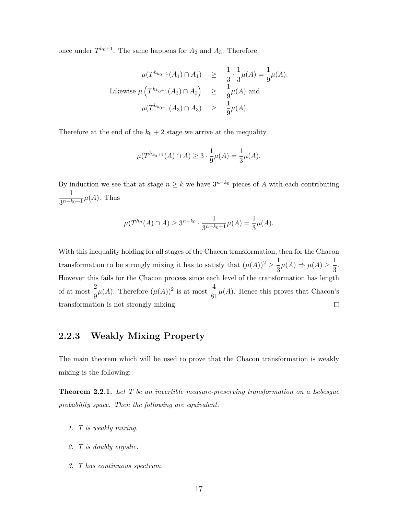once under  $T^{h_0+1}$ . The same happens for  $A_2$  and  $A_3$ . Therefore

$$
\mu(T^{h_{k_0+1}}(A_1) \cap A_1) \geq \frac{1}{3} \cdot \frac{1}{3} \mu(A) = \frac{1}{9} \mu(A).
$$
  
Likewise  $\mu(T^{h_{k_0+1}}(A_2) \cap A_2) \geq \frac{1}{9} \mu(A)$  and  
 $\mu(T^{h_{k_0+1}}(A_3) \cap A_3) \geq \frac{1}{9} \mu(A).$ 

Therefore at the end of the  $k_0 + 2$  stage we arrive at the inequality

$$
\mu(T^{h_{k_0+1}}(A) \cap A) \ge 3 \cdot \frac{1}{9} \mu(A) = \frac{1}{3} \mu(A).
$$

By induction we see that at stage  $n \geq k$  we have  $3^{n-k_0}$  pieces of *A* with each contributing 1  $\frac{1}{3^{n-k_0+1}}\mu(A)$ . Thus

$$
\mu(T^{h_n}(A) \cap A) \ge 3^{n-k_0} \cdot \frac{1}{3^{n-k_0+1}} \mu(A) = \frac{1}{3} \mu(A).
$$

With this inequality holding for all stages of the Chacon transformation, then for the Chacon transformation to be strongly mixing it has to satisfy that  $(\mu(A))^2 \geq \frac{1}{2}$  $\frac{1}{3}\mu(A) \Rightarrow \mu(A) \geq \frac{1}{3}$  $\frac{1}{3}$ . However this fails for the Chacon process since each level of the transformation has length of at most  $\frac{2}{9}\mu(A)$ . Therefore  $(\mu(A))^2$  is at most  $\frac{4}{81}$  $\frac{1}{81}\mu(A)$ . Hence this proves that Chacon's  $\Box$ transformation is not strongly mixing.

#### <span id="page-21-0"></span>**2.2.3 Weakly Mixing Property**

The main theorem which will be used to prove that the Chacon transformation is weakly mixing is the following:

<span id="page-21-1"></span>**Theorem 2.2.1.** *Let T be an invertible measure-preserving transformation on a Lebesgue probability space. Then the following are equivalent.*

- *1. T is weakly mixing.*
- *2. T is doubly ergodic.*
- *3. T has continuous spectrum.*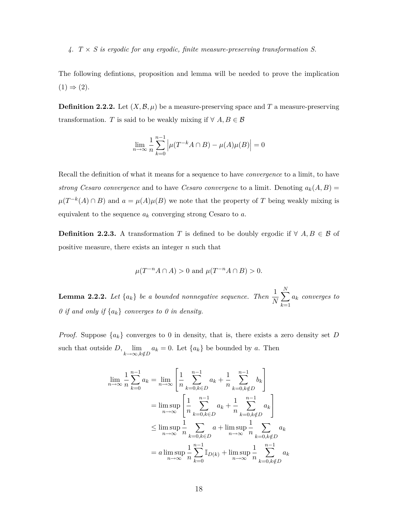*4. T × S is ergodic for any ergodic, finite measure-preserving transformation S.*

The following defintions, proposition and lemma will be needed to prove the implication  $(1) \Rightarrow (2)$ .

**Definition 2.2.2.** Let  $(X, \mathcal{B}, \mu)$  be a measure-preserving space and T a measure-preserving transformation. *T* is said to be weakly mixing if  $\forall A, B \in \mathcal{B}$ 

$$
\lim_{n \to \infty} \frac{1}{n} \sum_{k=0}^{n-1} \left| \mu(T^{-k}A \cap B) - \mu(A)\mu(B) \right| = 0
$$

Recall the definition of what it means for a sequence to have *convergence* to a limit, to have *strong Cesaro convergence* and to have *Cesaro convergene* to a limit. Denoting  $a_k(A, B) =$  $\mu(T^{-k}(A) \cap B)$  and  $a = \mu(A)\mu(B)$  we note that the property of *T* being weakly mixing is equivalent to the sequence *a<sup>k</sup>* converging strong Cesaro to *a*.

**Definition 2.2.3.** A transformation *T* is defined to be doubly ergodic if  $\forall A, B \in \mathcal{B}$  of positive measure, there exists an integer *n* such that

$$
\mu(T^{-n}A \cap A) > 0 \text{ and } \mu(T^{-n}A \cap B) > 0.
$$

<span id="page-22-0"></span>**Lemma 2.2.2.** Let  $\{a_k\}$  be a bounded nonnegative sequence. Then  $\frac{1}{N}$  $\sum$ *N k*=1 *a<sup>k</sup> converges to 0 if and only if {ak} converges to 0 in density.*

*Proof.* Suppose  $\{a_k\}$  converges to 0 in density, that is, there exists a zero density set *D* such that outside  $D$ ,  $\lim_{k \to \infty, k \notin D} a_k = 0$ . Let  $\{a_k\}$  be bounded by *a*. Then

$$
\lim_{n \to \infty} \frac{1}{n} \sum_{k=0}^{n-1} a_k = \lim_{n \to \infty} \left[ \frac{1}{n} \sum_{k=0, k \in D}^{n-1} a_k + \frac{1}{n} \sum_{k=0, k \notin D}^{n-1} b_k \right]
$$

$$
= \limsup_{n \to \infty} \left[ \frac{1}{n} \sum_{k=0, k \in D}^{n-1} a_k + \frac{1}{n} \sum_{k=0, k \notin D}^{n-1} a_k \right]
$$

$$
\leq \limsup_{n \to \infty} \frac{1}{n} \sum_{k=0, k \in D}^{n-1} a_k + \limsup_{n \to \infty} \frac{1}{n} \sum_{k=0, k \notin D}^{n-1} a_k
$$

$$
= a \limsup_{n \to \infty} \frac{1}{n} \sum_{k=0}^{n-1} \mathbb{I}_{D(k)} + \limsup_{n \to \infty} \frac{1}{n} \sum_{k=0, k \notin D}^{n-1} a_k
$$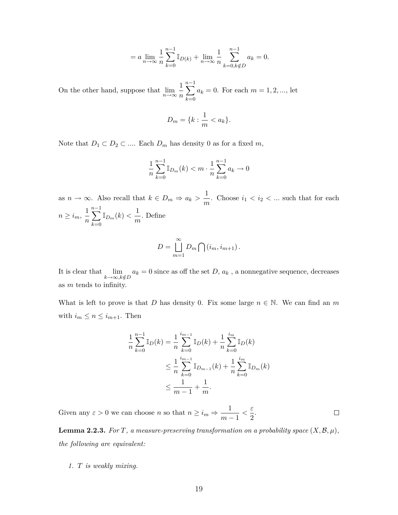$$
= a \lim_{n \to \infty} \frac{1}{n} \sum_{k=0}^{n-1} \mathbb{I}_{D(k)} + \lim_{n \to \infty} \frac{1}{n} \sum_{k=0, k \notin D}^{n-1} a_k = 0.
$$

On the other hand, suppose that  $\lim_{n\to\infty} \frac{1}{n}$ *n n*−1<br> **V** *k*=0  $a_k = 0$ . For each  $m = 1, 2, ...,$  let

$$
D_m = \{k : \frac{1}{m} < a_k\}.
$$

Note that  $D_1 \subset D_2 \subset \dots$  Each  $D_m$  has density 0 as for a fixed  $m$ ,

$$
\frac{1}{n}\sum_{k=0}^{n-1} \mathbb{I}_{D_m}(k) < m \cdot \frac{1}{n}\sum_{k=0}^{n-1} a_k \to 0
$$

as  $n \to \infty$ . Also recall that  $k \in D_m \Rightarrow a_k > \frac{1}{n}$  $\frac{1}{m}$ . Choose  $i_1 < i_2 < ...$  such that for each  $n \geq i_m, \frac{1}{n}$ *n n*−1<br> **V** *k*=0  $\mathbb{I}_{D_m}(k) < \frac{1}{m}$  $\frac{1}{m}$ . Define

$$
D = \bigcup_{m=1}^{\infty} D_m \bigcap (i_m, i_{m+1}).
$$

It is clear that  $\lim_{k \to \infty, k \notin D} a_k = 0$  since as off the set *D*,  $a_k$ , a nonnegative sequence, decreases as *m* tends to infinity.

What is left to prove is that *D* has density 0. Fix some large  $n \in \mathbb{N}$ . We can find an *m* with  $i_m \leq n \leq i_{m+1}$ . Then

$$
\frac{1}{n} \sum_{k=0}^{n-1} \mathbb{I}_D(k) = \frac{1}{n} \sum_{k=0}^{i_{m-1}} \mathbb{I}_D(k) + \frac{1}{n} \sum_{k=0}^{i_m} \mathbb{I}_D(k)
$$
\n
$$
\leq \frac{1}{n} \sum_{k=0}^{i_{m-1}} \mathbb{I}_{D_{m-1}}(k) + \frac{1}{n} \sum_{k=0}^{i_m} \mathbb{I}_{D_m}(k)
$$
\n
$$
\leq \frac{1}{m-1} + \frac{1}{m}.
$$

Given any  $\varepsilon > 0$  we can choose *n* so that  $n \geq i_m \Rightarrow \frac{1}{m}$  $\frac{1}{m-1} < \frac{\varepsilon}{2}$  $\Box$  $\frac{1}{2}$ .

<span id="page-23-0"></span>**Lemma 2.2.3.** For  $T$ , a measure-preserving transformation on a probability space  $(X, \mathcal{B}, \mu)$ , *the following are equivalent:*

*1. T is weakly mixing.*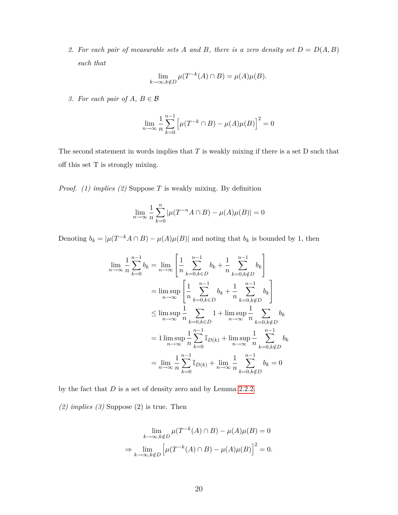2. For each pair of measurable sets A and B, there is a zero density set  $D = D(A, B)$ *such that*

$$
\lim_{k \to \infty, k \notin D} \mu(T^{-k}(A) \cap B) = \mu(A)\mu(B).
$$

*3. For each pair of*  $A, B \in \mathcal{B}$ 

$$
\lim_{n\to\infty}\frac{1}{n}\sum_{k=0}^{n-1}\Big[\mu(T^{-k}\cap B)-\mu(A)\mu(B)\Big]^2=0
$$

The second statement in words implies that *T* is weakly mixing if there is a set D such that off this set T is strongly mixing.

*Proof. (1) implies (2)* Suppose *T* is weakly mixing. By definition

$$
\lim_{n \to \infty} \frac{1}{n} \sum_{k=0}^{n} |\mu(T^{-n}A \cap B) - \mu(A)\mu(B)| = 0
$$

Denoting  $b_k = |\mu(T^{-k}A \cap B) - \mu(A)\mu(B)|$  and noting that  $b_k$  is bounded by 1, then

$$
\lim_{n \to \infty} \frac{1}{n} \sum_{k=0}^{n-1} b_k = \lim_{n \to \infty} \left[ \frac{1}{n} \sum_{k=0, k \in D}^{n-1} b_k + \frac{1}{n} \sum_{k=0, k \notin D}^{n-1} b_k \right]
$$
  
\n
$$
= \limsup_{n \to \infty} \left[ \frac{1}{n} \sum_{k=0, k \in D}^{n-1} b_k + \frac{1}{n} \sum_{k=0, k \notin D}^{n-1} b_k \right]
$$
  
\n
$$
\leq \limsup_{n \to \infty} \frac{1}{n} \sum_{k=0, k \in D}^{n-1} 1 + \limsup_{n \to \infty} \frac{1}{n} \sum_{k=0, k \notin D}^{n-1} b_k
$$
  
\n
$$
= 1 \limsup_{n \to \infty} \frac{1}{n} \sum_{k=0}^{n-1} \mathbb{I}_{D(k)} + \limsup_{n \to \infty} \frac{1}{n} \sum_{k=0, k \notin D}^{n-1} b_k
$$
  
\n
$$
= \lim_{n \to \infty} \frac{1}{n} \sum_{k=0}^{n-1} \mathbb{I}_{D(k)} + \lim_{n \to \infty} \frac{1}{n} \sum_{k=0, k \notin D}^{n-1} b_k = 0
$$

by the fact that *D* is a set of density zero and by Lemma [2.2.2.](#page-22-0)

*(2) implies (3)* Suppose (2) is true. Then

$$
\lim_{k \to \infty, k \notin D} \mu(T^{-k}(A) \cap B) - \mu(A)\mu(B) = 0
$$

$$
\Rightarrow \lim_{k \to \infty, k \notin D} \left[ \mu(T^{-k}(A) \cap B) - \mu(A)\mu(B) \right]^2 = 0.
$$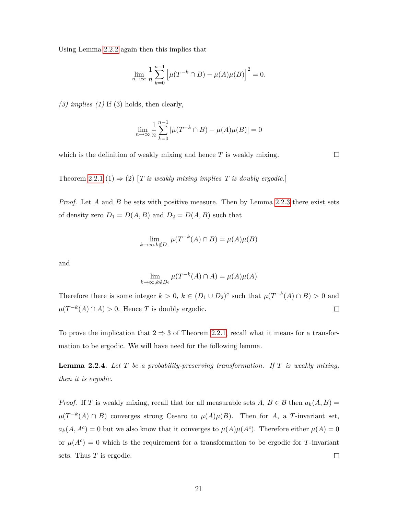Using Lemma [2.2.2](#page-22-0) again then this implies that

$$
\lim_{n \to \infty} \frac{1}{n} \sum_{k=0}^{n-1} \left[ \mu(T^{-k} \cap B) - \mu(A)\mu(B) \right]^2 = 0.
$$

*(3) implies (1)* If (3) holds, then clearly,

$$
\lim_{n \to \infty} \frac{1}{n} \sum_{k=0}^{n-1} |\mu(T^{-k} \cap B) - \mu(A)\mu(B)| = 0
$$

which is the definition of weakly mixing and hence *T* is weakly mixing.

Theorem [2.2.1](#page-21-1) (1)  $\Rightarrow$  (2) [*T is weakly mixing implies T is doubly ergodic.*]

*Proof.* Let *A* and *B* be sets with positive measure. Then by Lemma [2.2.3](#page-23-0) there exist sets of density zero  $D_1 = D(A, B)$  and  $D_2 = D(A, B)$  such that

$$
\lim_{k \to \infty, k \notin D_1} \mu(T^{-k}(A) \cap B) = \mu(A)\mu(B)
$$

and

$$
\lim_{k \to \infty, k \notin D_2} \mu(T^{-k}(A) \cap A) = \mu(A)\mu(A)
$$

Therefore there is some integer  $k > 0$ ,  $k \in (D_1 \cup D_2)^c$  such that  $\mu(T^{-k}(A) \cap B) > 0$  and  $\mu(T^{-k}(A) \cap A) > 0$ . Hence *T* is doubly ergodic.  $\Box$ 

To prove the implication that  $2 \Rightarrow 3$  of Theorem [2.2.1,](#page-21-1) recall what it means for a transformation to be ergodic. We will have need for the following lemma.

**Lemma 2.2.4.** *Let T be a probability-preserving transformation. If T is weakly mixing, then it is ergodic.*

*Proof.* If *T* is weakly mixing, recall that for all measurable sets  $A, B \in \mathcal{B}$  then  $a_k(A, B) =$  $\mu(T^{-k}(A) \cap B)$  converges strong Cesaro to  $\mu(A)\mu(B)$ . Then for *A*, a *T*-invariant set,  $a_k(A, A^c) = 0$  but we also know that it converges to  $\mu(A)\mu(A^c)$ . Therefore either  $\mu(A) = 0$ or  $\mu(A^c) = 0$  which is the requirement for a transformation to be ergodic for *T*-invariant sets. Thus *T* is ergodic.  $\Box$ 

 $\Box$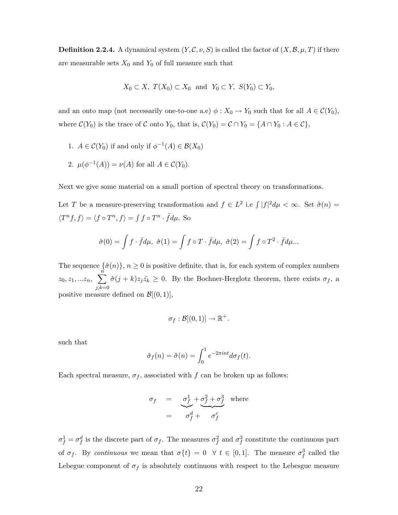**Definition 2.2.4.** A dynamical system  $(Y, \mathcal{C}, \nu, S)$  is called the factor of  $(X, \mathcal{B}, \mu, T)$  if there are measurable sets  $X_0$  and  $Y_0$  of full measure such that

$$
X_0 \subset X, T(X_0) \subset X_0 \text{ and } Y_0 \subset Y, S(Y_0) \subset Y_0,
$$

and an onto map (not necessarily one-to-one a.e)  $\phi: X_0 \to Y_0$  such that for all  $A \in \mathcal{C}(Y_0)$ , where  $C(Y_0)$  is the trace of  $C$  onto  $Y_0$ , that is,  $C(Y_0) = C \cap Y_0 = \{A \cap Y_0 : A \in C\}$ ,

- 1.  $A \in \mathcal{C}(Y_0)$  if and only if  $\phi^{-1}(A) \in \mathcal{B}(X_0)$
- 2.  $\mu(\phi^{-1}(A)) = \nu(A)$  for all  $A \in \mathcal{C}(Y_0)$ .

Next we give some material on a small portion of spectral theory on transformations.

Let *T* be a measure-preserving transformation and  $f \in L^2$  i.e  $\int |f|^2 d\mu < \infty$ . Set  $\hat{\sigma}(n) =$  $\langle T^n f, f \rangle = \langle f \circ T^n, f \rangle = \int f \circ T^n \cdot \bar{f} d\mu$ . So

$$
\hat{\sigma}(0) = \int f \cdot \bar{f} d\mu, \ \hat{\sigma}(1) = \int f \circ T \cdot \bar{f} d\mu, \ \hat{\sigma}(2) = \int f \circ T^2 \cdot \bar{f} d\mu...
$$

The sequence  $\{\hat{\sigma}(n)\}\$ ,  $n \geq 0$  is positive definite, that is, for each system of complex numbers  $z_0, z_1, ... z_n, \sum_{i=1}^n$ *j,k*=0  $\hat{\sigma}(j+k)z_j\bar{z}_k \geq 0$ . By the Bochner-Herglotz theorem, there exists  $\sigma_f$ , a positive measure defined on  $\mathcal{B}[(0,1)],$ 

$$
\sigma_f : \mathcal{B}[(0,1)] \to \mathbb{R}^+.
$$

such that

$$
\hat{\sigma}_f(n) = \hat{\sigma}(n) = \int_0^1 e^{-2\pi int} d\sigma_f(t).
$$

Each spectral measure,  $\sigma_f$ , associated with  $f$  can be broken up as follows:

$$
\sigma_f = \underbrace{\sigma_f^1}_{\sigma_f^2 + \sigma_f^2 + \sigma_f^3}_{\sigma_f^2} \text{ where}
$$

 $\sigma_f^1 = \sigma_f^d$  is the discrete part of  $\sigma_f$ . The measures  $\sigma_f^2$  and  $\sigma_f^3$  constitute the continuous part of  $\sigma_f$ . By *continuous* we mean that  $\sigma\{t\} = 0 \quad \forall \ t \in [0,1]$ . The measure  $\sigma_f^3$  called the Lebegue component of  $\sigma_f$  is absolutely continuous with respect to the Lebesgue measure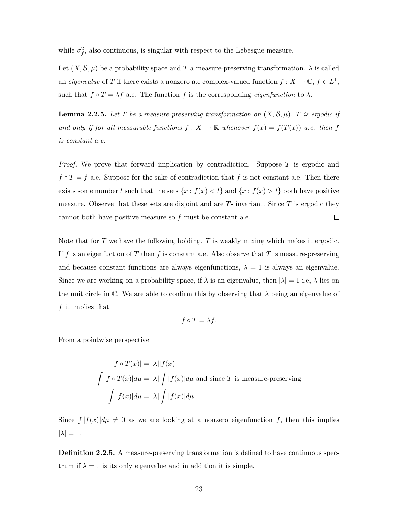while  $\sigma_f^2$ , also continuous, is singular with respect to the Lebesgue measure.

Let  $(X, \mathcal{B}, \mu)$  be a probability space and T a measure-preserving transformation.  $\lambda$  is called an *eigenvalue* of *T* if there exists a nonzero a.e complex-valued function  $f: X \to \mathbb{C}, f \in L^1$ , such that  $f \circ T = \lambda f$  a.e. The function  $f$  is the corresponding *eigenfunction* to  $\lambda$ .

**Lemma 2.2.5.** Let  $T$  be a measure-preserving transformation on  $(X, \mathcal{B}, \mu)$ .  $T$  is ergodic if *and only if for all measurable functions*  $f: X \to \mathbb{R}$  *whenever*  $f(x) = f(T(x))$  *a.e. then f is constant a.e.*

*Proof.* We prove that forward implication by contradiction. Suppose *T* is ergodic and  $f \circ T = f$  a.e. Suppose for the sake of contradiction that  $f$  is not constant a.e. Then there exists some number *t* such that the sets  $\{x : f(x) < t\}$  and  $\{x : f(x) > t\}$  both have positive measure. Observe that these sets are disjoint and are *T*- invariant. Since *T* is ergodic they cannot both have positive measure so *f* must be constant a.e.  $\Box$ 

Note that for *T* we have the following holding. *T* is weakly mixing which makes it ergodic. If *f* is an eigenfuction of *T* then *f* is constant a.e. Also observe that *T* is measure-preserving and because constant functions are always eigenfunctions,  $\lambda = 1$  is always an eigenvalue. Since we are working on a probability space, if  $\lambda$  is an eigenvalue, then  $|\lambda| = 1$  i.e,  $\lambda$  lies on the unit circle in  $\mathbb{C}$ . We are able to confirm this by observing that  $\lambda$  being an eigenvalue of *f* it implies that

$$
f \circ T = \lambda f.
$$

From a pointwise perspective

$$
|f \circ T(x)| = |\lambda||f(x)|
$$
  

$$
\int |f \circ T(x)| d\mu = |\lambda| \int |f(x)| d\mu
$$
 and since *T* is measure-preserving  

$$
\int |f(x)| d\mu = |\lambda| \int |f(x)| d\mu
$$

Since  $\int |f(x)| d\mu \neq 0$  as we are looking at a nonzero eigenfunction f, then this implies  $|\lambda| = 1$ .

**Definition 2.2.5.** A measure-preserving transformation is defined to have continuous spectrum if  $\lambda = 1$  is its only eigenvalue and in addition it is simple.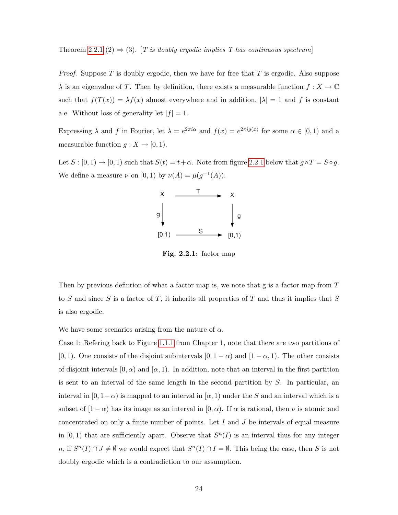Theorem [2.2.1](#page-21-1) (2)  $\Rightarrow$  (3). [*T is doubly ergodic implies T has continuous spectrum*]

*Proof.* Suppose *T* is doubly ergodic, then we have for free that *T* is ergodic. Also suppose  $\lambda$  is an eigenvalue of *T*. Then by definition, there exists a measurable function  $f: X \to \mathbb{C}$ such that  $f(T(x)) = \lambda f(x)$  almost everywhere and in addition,  $|\lambda| = 1$  and f is constant a.e. Without loss of generality let  $|f| = 1$ .

Expressing  $\lambda$  and  $f$  in Fourier, let  $\lambda = e^{2\pi i \alpha}$  and  $f(x) = e^{2\pi i g(x)}$  for some  $\alpha \in [0,1)$  and a measurable function  $g: X \to [0,1)$ .

Let  $S : [0, 1) \rightarrow [0, 1)$  such that  $S(t) = t + \alpha$ . Note from figure [2.2.1](#page-28-0) below that  $g \circ T = S \circ g$ . We define a measure  $\nu$  on [0, 1) by  $\nu(A) = \mu(g^{-1}(A)).$ 



<span id="page-28-0"></span>**Fig. 2.2.1:** factor map

Then by previous defintion of what a factor map is, we note that g is a factor map from *T* to *S* and since *S* is a factor of *T*, it inherits all properties of *T* and thus it implies that *S* is also ergodic.

We have some scenarios arising from the nature of *α*.

Case 1: Refering back to Figure [1.1.1](#page-6-0) from Chapter 1, note that there are two partitions of [0, 1). One consists of the disjoint subintervals  $[0, 1 - \alpha)$  and  $[1 - \alpha, 1)$ . The other consists of disjoint intervals  $[0, \alpha)$  and  $[\alpha, 1)$ . In addition, note that an interval in the first partition is sent to an interval of the same length in the second partition by *S*. In particular, an interval in  $[0, 1-\alpha)$  is mapped to an interval in  $[\alpha, 1)$  under the *S* and an interval which is a subset of  $[1 - \alpha)$  has its image as an interval in  $[0, \alpha)$ . If  $\alpha$  is rational, then  $\nu$  is atomic and concentrated on only a finite number of points. Let *I* and *J* be intervals of equal measure in  $[0, 1)$  that are sufficiently apart. Observe that  $S<sup>n</sup>(I)$  is an interval thus for any integer  $n, \text{ if } S^n(I) \cap J \neq \emptyset \text{ we would expect that } S^n(I) \cap I = \emptyset.$  This being the case, then *S* is not doubly ergodic which is a contradiction to our assumption.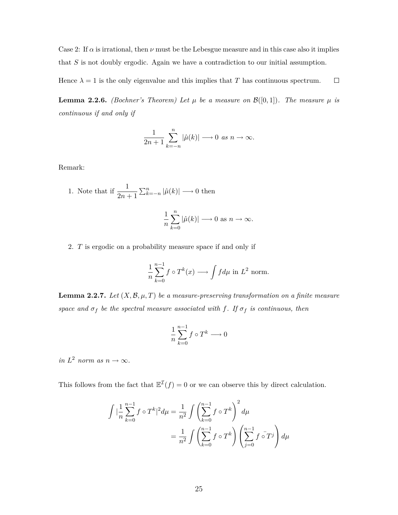Case 2: If  $\alpha$  is irrational, then  $\nu$  must be the Lebesgue measure and in this case also it implies that *S* is not doubly ergodic. Again we have a contradiction to our initial assumption.

Hence  $\lambda = 1$  is the only eigenvalue and this implies that *T* has continuous spectrum.  $\Box$ 

<span id="page-29-0"></span>**Lemma 2.2.6.** *(Bochner's Theorem) Let*  $\mu$  *be a measure on*  $\mathcal{B}([0,1])$ *. The measure*  $\mu$  *is continuous if and only if*

$$
\frac{1}{2n+1}\sum_{k=-n}^{n}|\hat{\mu}(k)|\longrightarrow 0 \text{ as } n\longrightarrow \infty.
$$

Remark:

1. Note that if 
$$
\frac{1}{2n+1} \sum_{k=-n}^{n} |\hat{\mu}(k)| \longrightarrow 0
$$
 then  

$$
\frac{1}{n} \sum_{k=0}^{n} |\hat{\mu}(k)| \longrightarrow 0 \text{ as } n \longrightarrow \infty.
$$

2. *T* is ergodic on a probability measure space if and only if

*k*=0

$$
\frac{1}{n}\sum_{k=0}^{n-1} f \circ T^k(x) \longrightarrow \int f d\mu \text{ in } L^2 \text{ norm.}
$$

**Lemma 2.2.7.** Let  $(X, \mathcal{B}, \mu, T)$  be a measure-preserving transformation on a finite measure *space and*  $\sigma_f$  *be the spectral measure associated with f. If*  $\sigma_f$  *is continuous, then* 

$$
\frac{1}{n}\sum_{k=0}^{n-1} f \circ T^k \longrightarrow 0
$$

 $in L<sup>2</sup>$  *norm as*  $n \to \infty$ *.* 

This follows from the fact that  $\mathbb{E}^{\mathcal{I}}(f) = 0$  or we can observe this by direct calculation.

$$
\int |\frac{1}{n}\sum_{k=0}^{n-1} f \circ T^k|^2 d\mu = \frac{1}{n^2} \int \left(\sum_{k=0}^{n-1} f \circ T^k\right)^2 d\mu
$$

$$
= \frac{1}{n^2} \int \left(\sum_{k=0}^{n-1} f \circ T^k\right) \left(\sum_{j=0}^{n-1} f \circ T^j\right) d\mu
$$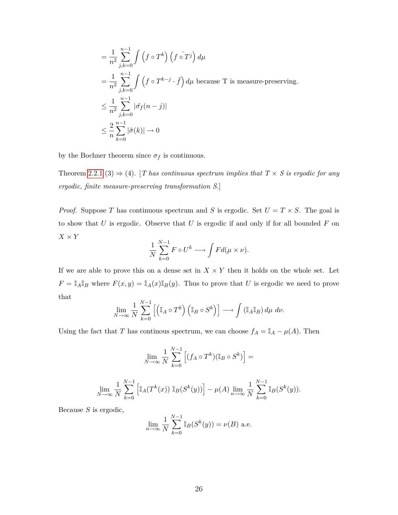$$
\begin{aligned}\n&= \frac{1}{n^2} \sum_{j,k=0}^{n-1} \int \left( f \circ T^k \right) \left( f \circ T^j \right) d\mu \\
&= \frac{1}{n^2} \sum_{j,k=0}^{n-1} \int \left( f \circ T^{k-j} \cdot \bar{f} \right) d\mu \text{ because T is measure-preserving.} \\
&\leq \frac{1}{n^2} \sum_{j,k=0}^{n-1} |\hat{\sigma}_f(n-j)| \\
&\leq \frac{2}{n} \sum_{k=0}^{n-1} |\hat{\sigma}(k)| \to 0\n\end{aligned}
$$

by the Bochner theorem since  $\sigma_f$  is continuous.

Theorem [2.2.1](#page-21-1) (3)  $\Rightarrow$  (4). [*T* has continuous spectrum implies that  $T \times S$  is ergodic for any *ergodic, finite measure-preserving transformation S.*]

*Proof.* Suppose *T* has continuous spectrum and *S* is ergodic. Set  $U = T \times S$ . The goal is to show that *U* is ergodic. Observe that *U* is ergodic if and only if for all bounded *F* on *X × Y*

$$
\frac{1}{N} \sum_{k=0}^{N-1} F \circ U^k \longrightarrow \int F d(\mu \times \nu).
$$

If we are able to prove this on a dense set in  $X \times Y$  then it holds on the whole set. Let  $F = \mathbb{I}_A \mathbb{I}_B$  where  $F(x, y) = \mathbb{I}_A(x) \mathbb{I}_B(y)$ . Thus to prove that *U* is ergodic we need to prove that

$$
\lim_{N \to \infty} \frac{1}{N} \sum_{k=0}^{N-1} \left[ \left( \mathbb{I}_A \circ T^k \right) \left( \mathbb{I}_B \circ S^k \right) \right] \longrightarrow \int \left( \mathbb{I}_A \mathbb{I}_B \right) d\mu \ d\nu.
$$

Using the fact that *T* has continous spectrum, we can choose  $f_A = \mathbb{I}_A - \mu(A)$ . Then

$$
\lim_{N \to \infty} \frac{1}{N} \sum_{k=0}^{N-1} \left[ (f_A \circ T^k)(\mathbb{I}_B \circ S^k) \right] =
$$
  

$$
\lim_{N \to \infty} \frac{1}{N} \sum_{k=0}^{N-1} \left[ \mathbb{I}_A(T^k(x)) \mathbb{I}_B(S^k(y)) \right] - \mu(A) \lim_{n \to \infty} \frac{1}{N} \sum_{k=0}^{N-1} \mathbb{I}_B(S^k(y)).
$$

Because *S* is ergodic,

$$
\lim_{n \to \infty} \frac{1}{N} \sum_{k=0}^{N-1} \mathbb{I}_B(S^k(y)) = \nu(B)
$$
 a.e.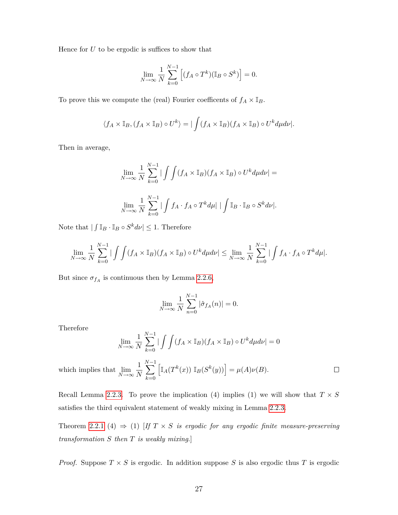Hence for  $U$  to be ergodic is suffices to show that

$$
\lim_{N \to \infty} \frac{1}{N} \sum_{k=0}^{N-1} \left[ (f_A \circ T^k)(\mathbb{I}_B \circ S^k) \right] = 0.
$$

To prove this we compute the (real) Fourier coefficents of  $f_A \times \mathbb{I}_B$ .

$$
\langle f_A \times \mathbb{I}_B, (f_A \times \mathbb{I}_B) \circ U^k \rangle = |\int (f_A \times \mathbb{I}_B)(f_A \times \mathbb{I}_B) \circ U^k d\mu d\nu|.
$$

Then in average,

$$
\lim_{N \to \infty} \frac{1}{N} \sum_{k=0}^{N-1} |\int (f_A \times \mathbb{I}_B)(f_A \times \mathbb{I}_B) \circ U^k d\mu d\nu| =
$$
  

$$
\lim_{N \to \infty} \frac{1}{N} \sum_{k=0}^{N-1} |\int f_A \cdot f_A \circ T^k d\mu| |\int \mathbb{I}_B \cdot \mathbb{I}_B \circ S^k d\nu|.
$$

Note that  $| \int \mathbb{I}_B \cdot \mathbb{I}_B \circ S^k d\nu | \leq 1$ . Therefore

$$
\lim_{N \to \infty} \frac{1}{N} \sum_{k=0}^{N-1} |\int (f_A \times \mathbb{I}_B)(f_A \times \mathbb{I}_B) \circ U^k d\mu d\nu| \leq \lim_{N \to \infty} \frac{1}{N} \sum_{k=0}^{N-1} |\int f_A \cdot f_A \circ T^k d\mu|.
$$

But since  $\sigma_{f_A}$  is continuous then by Lemma [2.2.6,](#page-29-0)

$$
\lim_{N \to \infty} \frac{1}{N} \sum_{n=0}^{N-1} |\hat{\sigma}_{f_A}(n)| = 0.
$$

Therefore

$$
\lim_{N \to \infty} \frac{1}{N} \sum_{k=0}^{N-1} |\int (f_A \times \mathbb{I}_B)(f_A \times \mathbb{I}_B) \circ U^k d\mu d\nu| = 0
$$

*N* X*−*1 1  $\left[ \mathbb{I}_A(T^k(x)) \; \mathbb{I}_B(S^k(y)) \right] = \mu(A) \nu(B).$  $\Box$ which implies that  $\lim_{N \to \infty}$ *N k*=0

Recall Lemma [2.2.3.](#page-23-0) To prove the implication (4) implies (1) we will show that  $T \times S$ satisfies the third equivalent statement of weakly mixing in Lemma [2.2.3.](#page-23-0)

Theorem [2.2.1](#page-21-1) (4)  $\Rightarrow$  (1) [*If*  $T \times S$  *is ergodic for any ergodic finite measure-preserving transformation S then T is weakly mixing*.]

*Proof.* Suppose  $T \times S$  is ergodic. In addition suppose S is also ergodic thus T is ergodic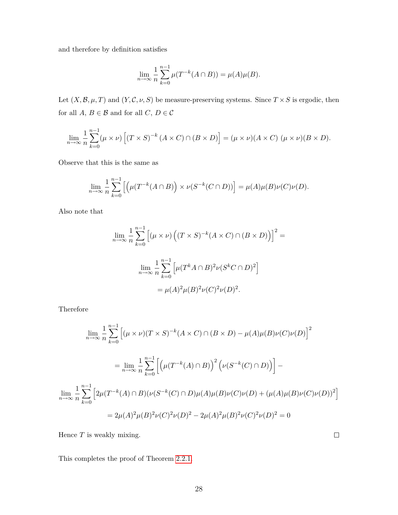and therefore by definition satisfies

$$
\lim_{n \to \infty} \frac{1}{n} \sum_{k=0}^{n-1} \mu(T^{-k}(A \cap B)) = \mu(A)\mu(B).
$$

Let  $(X, \mathcal{B}, \mu, T)$  and  $(Y, \mathcal{C}, \nu, S)$  be measure-preserving systems. Since  $T \times S$  is ergodic, then for all  $A, B \in \mathcal{B}$  and for all  $C, D \in \mathcal{C}$ 

$$
\lim_{n \to \infty} \frac{1}{n} \sum_{k=0}^{n-1} (\mu \times \nu) \left[ (T \times S)^{-k} (A \times C) \cap (B \times D) \right] = (\mu \times \nu) (A \times C) (\mu \times \nu) (B \times D).
$$

Observe that this is the same as

$$
\lim_{n \to \infty} \frac{1}{n} \sum_{k=0}^{n-1} \left[ \left( \mu(T^{-k}(A \cap B)) \times \nu(S^{-k}(C \cap D)) \right) = \mu(A)\mu(B)\nu(C)\nu(D).
$$

Also note that

$$
\lim_{n \to \infty} \frac{1}{n} \sum_{k=0}^{n-1} \left[ (\mu \times \nu) \left( (T \times S)^{-k} (A \times C) \cap (B \times D) \right) \right]^2 =
$$
  

$$
\lim_{n \to \infty} \frac{1}{n} \sum_{k=0}^{n-1} \left[ \mu (T^k A \cap B)^2 \nu (S^k C \cap D)^2 \right]
$$
  

$$
= \mu(A)^2 \mu(B)^2 \nu(C)^2 \nu(D)^2.
$$

Therefore

$$
\lim_{n \to \infty} \frac{1}{n} \sum_{k=0}^{n-1} \left[ (\mu \times \nu)(T \times S)^{-k} (A \times C) \cap (B \times D) - \mu(A)\mu(B)\nu(C)\nu(D) \right]^2
$$
  
\n
$$
= \lim_{n \to \infty} \frac{1}{n} \sum_{k=0}^{n-1} \left[ \left( \mu(T^{-k}(A) \cap B) \right)^2 \left( \nu(S^{-k}(C) \cap D) \right) \right] -
$$
  
\n
$$
\lim_{n \to \infty} \frac{1}{n} \sum_{k=0}^{n-1} \left[ 2\mu(T^{-k}(A) \cap B) (\nu(S^{-k}(C) \cap D)\mu(A)\mu(B)\nu(C)\nu(D) + (\mu(A)\mu(B)\nu(C)\nu(D))^2 \right]
$$
  
\n
$$
= 2\mu(A)^2 \mu(B)^2 \nu(C)^2 \nu(D)^2 - 2\mu(A)^2 \mu(B)^2 \nu(C)^2 \nu(D)^2 = 0
$$

Hence *T* is weakly mixing.

This completes the proof of Theorem [2.2.1.](#page-21-1)

 $\Box$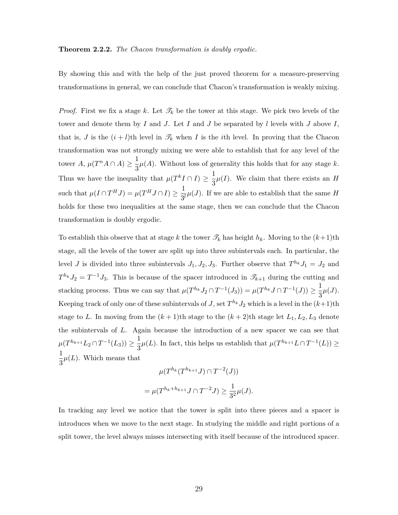#### **Theorem 2.2.2.** *The Chacon transformation is doubly ergodic.*

By showing this and with the help of the just proved theorem for a measure-preserving transformations in general, we can conclude that Chacon's transformation is weakly mixing.

*Proof.* First we fix a stage k. Let  $\mathcal{T}_k$  be the tower at this stage. We pick two levels of the tower and denote them by *I* and *J*. Let *I* and *J* be separated by *l* levels with *J* above *I*, that is, *J* is the  $(i + l)$ th level in  $\mathcal{I}_k$  when *I* is the *i*th level. In proving that the Chacon transformation was not strongly mixing we were able to establish that for any level of the tower  $A, \mu(T^n A \cap A) \geq \frac{1}{2}$  $\frac{1}{3}\mu(A)$ . Without loss of generality this holds that for any stage *k*. Thus we have the inequality that  $\mu(T^k I \cap I) \geq \frac{1}{2}$  $\frac{1}{3}\mu(I)$ . We claim that there exists an *H* such that  $\mu(I \cap T^HJ) = \mu(T^HJ \cap I) \geq \frac{1}{2}$  $\frac{1}{3^l}\mu(J)$ . If we are able to establish that the same *H* holds for these two inequalities at the same stage, then we can conclude that the Chacon transformation is doubly ergodic.

To establish this observe that at stage *k* the tower  $\mathcal{T}_k$  has height  $h_k$ . Moving to the  $(k+1)$ th stage, all the levels of the tower are split up into three subintervals each. In particular, the level *J* is divided into three subintervals  $J_1, J_2, J_3$ . Further observe that  $T^{h_k} J_1 = J_2$  and  $T^{h_k} J_2 = T^{-1} J_3$ . This is because of the spacer introduced in  $\mathscr{T}_{k+1}$  during the cutting and stacking process. Thus we can say that  $\mu(T^{h_k}J_2 \cap T^{-1}(J_3)) = \mu(T^{h_k}J \cap T^{-1}(J)) \geq \frac{1}{2}$  $\frac{1}{3}\mu(J).$ Keeping track of only one of these subintervals of *J*, set  $T^{h_k} J_2$  which is a level in the  $(k+1)$ th stage to *L*. In moving from the  $(k+1)$ th stage to the  $(k+2)$ th stage let  $L_1, L_2, L_3$  denote the subintervals of *L*. Again because the introduction of a new spacer we can see that  $\mu(T^{h_{k+1}}L_2 \cap T^{-1}(L_3)) \geq \frac{1}{2}$  $\frac{1}{3}\mu(L)$ . In fact, this helps us establish that  $\mu(T^{h_{k+1}}L \cap T^{-1}(L)) \ge$ 1  $\frac{1}{3}\mu(L)$ . Which means that

$$
\mu(T^{h_k}(T^{h_{k+1}}J) \cap T^{-2}(J))
$$
  
= 
$$
\mu(T^{h_k+h_{k+1}}J \cap T^{-2}J) \ge \frac{1}{3^2}\mu(J).
$$

In tracking any level we notice that the tower is split into three pieces and a spacer is introduces when we move to the next stage. In studying the middle and right portions of a split tower, the level always misses intersecting with itself because of the introduced spacer.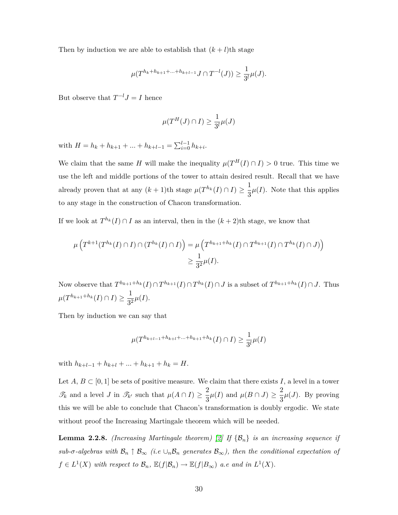Then by induction we are able to establish that  $(k + l)$ th stage

$$
\mu(T^{h_k+h_{k+1}+\ldots+h_{k+l-1}}J\cap T^{-l}(J))\geq \frac{1}{3^l}\mu(J).
$$

But observe that  $T^{-l}J = I$  hence

$$
\mu(T^H(J) \cap I) \ge \frac{1}{3^l} \mu(J)
$$

with  $H = h_k + h_{k+1} + \ldots + h_{k+l-1} = \sum_{i=0}^{l-1} h_{k+i}$ .

We claim that the same *H* will make the inequality  $\mu(T^H(I) \cap I) > 0$  true. This time we use the left and middle portions of the tower to attain desired result. Recall that we have already proven that at any  $(k+1)$ th stage  $\mu(T^{h_k}(I) \cap I) \geq \frac{1}{2}$  $\frac{1}{3}\mu(I)$ . Note that this applies to any stage in the construction of Chacon transformation.

If we look at  $T^{h_k}(I) \cap I$  as an interval, then in the  $(k+2)$ <sup>th</sup> stage, we know that

$$
\mu\left(T^{k+1}(T^{h_k}(I) \cap I) \cap (T^{h_k}(I) \cap I)\right) = \mu\left(T^{h_{k+1}+h_k}(I) \cap T^{h_{k+1}}(I) \cap T^{h_k}(I) \cap J)\right)
$$
  

$$
\geq \frac{1}{3^2} \mu(I).
$$

Now observe that  $T^{h_{k+1}+h_k}(I) \cap T^{h_{k+1}}(I) \cap T^{h_k}(I) \cap J$  is a subset of  $T^{h_{k+1}+h_k}(I) \cap J$ . Thus  $\mu(T^{h_{k+1}+h_k}(I) \cap I) \geq \frac{1}{2^s}$  $\frac{1}{3^2}\mu(I).$ 

Then by induction we can say that

$$
\mu(T^{h_{k+l-1}+h_{k+l}+\ldots+h_{k+1}+h_k}(I)\cap I) \geq \frac{1}{3^l}\mu(I)
$$

with  $h_{k+l-1} + h_{k+l} + ... + h_{k+1} + h_k = H$ .

Let  $A, B \subset [0, 1]$  be sets of positive measure. We claim that there exists  $I$ , a level in a tower  $\mathscr{T}_k$  and a level *J* in  $\mathscr{T}_{k'}$  such that  $\mu(A \cap I) \geq \frac{2}{2}$  $\frac{2}{3}\mu(I)$  and  $\mu(B \cap J) \ge \frac{2}{3}$  $\frac{2}{3}\mu(J)$ . By proving this we will be able to conclude that Chacon's transformation is doubly ergodic. We state without proof the Increasing Martingale theorem which will be needed.

**Lemma 2.2.8.** *(Increasing Martingale theorem)* [\[2\]](#page-40-2) If  $\{\mathcal{B}_n\}$  is an increasing sequence if *sub-* $\sigma$ -algebras with  $\mathcal{B}_n \uparrow \mathcal{B}_{\infty}$  (i.e  $\cup_n \mathcal{B}_n$  generates  $\mathcal{B}_{\infty}$ ), then the conditional expectation of  $f \in L^1(X)$  *with respect to*  $\mathcal{B}_n$ *,*  $\mathbb{E}(f|\mathcal{B}_n) \to \mathbb{E}(f|B_\infty)$  *a.e and in*  $L^1(X)$ *.*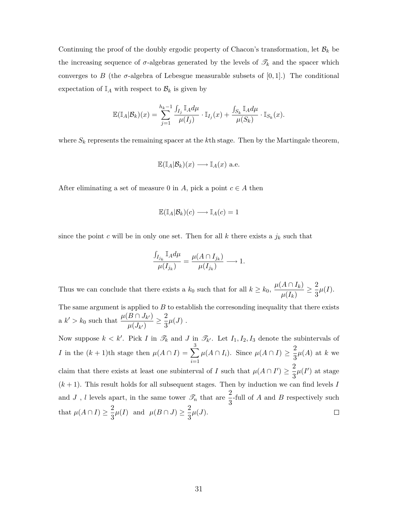Continuing the proof of the doubly ergodic property of Chacon's transformation, let  $\mathcal{B}_k$  be the increasing sequence of  $\sigma$ -algebras generated by the levels of  $\mathcal{T}_k$  and the spacer which converges to *B* (the  $\sigma$ -algebra of Lebesgue measurable subsets of  $[0, 1]$ .) The conditional expectation of  $\mathbb{I}_A$  with respect to  $\mathcal{B}_k$  is given by

$$
\mathbb{E}(\mathbb{I}_A|\mathcal{B}_k)(x)=\sum_{j=1}^{h_k-1}\frac{\int_{I_j}\mathbb{I}_A d\mu}{\mu(I_j)}\cdot \mathbb{I}_{I_j}(x)+\frac{\int_{S_k}\mathbb{I}_A d\mu}{\mu(S_k)}\cdot \mathbb{I}_{S_k}(x).
$$

where *S<sup>k</sup>* represents the remaining spacer at the *k*th stage. Then by the Martingale theorem,

$$
\mathbb{E}(\mathbb{I}_A|\mathcal{B}_k)(x) \longrightarrow \mathbb{I}_A(x) \text{ a.e.}
$$

After eliminating a set of measure 0 in *A*, pick a point  $c \in A$  then

$$
\mathbb{E}(\mathbb{I}_A|\mathcal{B}_k)(c) \longrightarrow \mathbb{I}_A(c) = 1
$$

since the point *c* will be in only one set. Then for all  $k$  there exists a  $j_k$  such that

$$
\frac{\int_{I_{j_k}} \mathbb{I}_A d\mu}{\mu(I_{j_k})} = \frac{\mu(A \cap I_{j_k})}{\mu(I_{j_k})} \longrightarrow 1.
$$

Thus we can conclude that there exists a  $k_0$  such that for all  $k \geq k_0$ ,  $\frac{\mu(A \cap I_k)}{\mu(I_k)}$  $\frac{A\cap I_k)}{\mu(I_k)}\geq \frac{2}{3}$  $\frac{2}{3}\mu(I).$ 

The same argument is applied to  $B$  to establish the corresonding inequality that there exists  $a \; k' > k_0$  such that  $\frac{\mu(B \cap J_{k'})}{\mu(I)}$  $\frac{B\cap J_{k'}}{\mu(J_{k'})}\geq \frac{2}{3}$  $\frac{2}{3}\mu(J)$ .

Now suppose  $k < k'$ . Pick *I* in  $\mathcal{R}_k$  and *J* in  $\mathcal{R}_{k'}$ . Let  $I_1, I_2, I_3$  denote the subintervals of 3  $\mu(A \cap I_i)$ . Since  $\mu(A \cap I) \geq \frac{2}{2}$ *I* in the  $(k + 1)$ th stage then  $\mu(A \cap I) = \sum$  $\frac{2}{3}\mu(A)$  at *k* we *i*=1 claim that there exists at least one subinterval of *I* such that  $\mu(A \cap I') \geq \frac{2}{2}$  $\frac{2}{3}\mu(I')$  at stage  $(k+1)$ . This result holds for all subsequent stages. Then by induction we can find levels *I* and *J*, *l* levels apart, in the same tower  $\mathcal{T}_n$  that are  $\frac{2}{3}$ -full of *A* and *B* respectively such that  $\mu(A \cap I) \geq \frac{2}{2}$  $\frac{2}{3}\mu(I)$  and  $\mu(B \cap J) \ge \frac{2}{3}$  $\frac{2}{3}\mu(J)$ .  $\Box$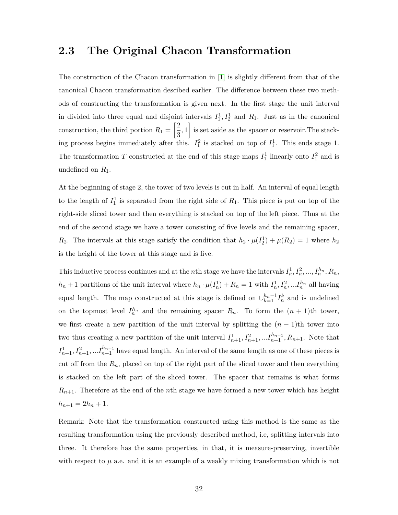### <span id="page-36-0"></span>**2.3 The Original Chacon Transformation**

The construction of the Chacon transformation in [\[1\]](#page-40-1) is slightly different from that of the canonical Chacon transformation descibed earlier. The difference between these two methods of constructing the transformation is given next. In the first stage the unit interval in divided into three equal and disjoint intervals  $I_1^1, I_2^1$  and  $R_1$ . Just as in the canonical construction, the third portion  $R_1 = \left[\frac{2}{3}\right]$  $\left[\frac{2}{3},1\right]$  is set aside as the spacer or reservoir. The stacking process begins immediately after this.  $I_1^2$  is stacked on top of  $I_1^1$ . This ends stage 1. The transformation *T* constructed at the end of this stage maps  $I_1^1$  linearly onto  $I_1^2$  and is undefined on *R*1.

At the beginning of stage 2, the tower of two levels is cut in half. An interval of equal length to the length of  $I_1^1$  is separated from the right side of  $R_1$ . This piece is put on top of the right-side sliced tower and then everything is stacked on top of the left piece. Thus at the end of the second stage we have a tower consisting of five levels and the remaining spacer, *R*<sub>2</sub>. The intervals at this stage satisfy the condition that  $h_2 \cdot \mu(I_2^1) + \mu(R_2) = 1$  where  $h_2$ is the height of the tower at this stage and is five.

This inductive process continues and at the *n*th stage we have the intervals  $I_n^1, I_n^2, ..., I_n^{h_n}, R_n$ ,  $h_n + 1$  partitions of the unit interval where  $h_n \cdot \mu(I_n^1) + R_n = 1$  with  $I_n^1, I_n^2, \dots, I_n^{h_n}$  all having equal length. The map constructed at this stage is defined on  $\bigcup_{k=1}^{h_n-1} I_n^k$  and is undefined on the topmost level  $I_n^{h_n}$  and the remaining spacer  $R_n$ . To form the  $(n + 1)$ th tower, we first create a new partition of the unit interval by splitting the  $(n-1)$ th tower into two thus creating a new partition of the unit interval  $I_{n+1}^1, I_{n+1}^2, \ldots, I_{n+1}^{h_{n+1}}, R_{n+1}$ . Note that  $I_{n+1}^1, I_{n+1}^2, \ldots, I_{n+1}^{h_{n+1}}$  have equal length. An interval of the same length as one of these pieces is cut off from the  $R_n$ , placed on top of the right part of the sliced tower and then everything is stacked on the left part of the sliced tower. The spacer that remains is what forms  $R_{n+1}$ . Therefore at the end of the *n*th stage we have formed a new tower which has height  $h_{n+1} = 2h_n + 1.$ 

Remark: Note that the transformation constructed using this method is the same as the resulting transformation using the previously described method, i.e, splitting intervals into three. It therefore has the same properties, in that, it is measure-preserving, invertible with respect to  $\mu$  a.e. and it is an example of a weakly mixing transformation which is not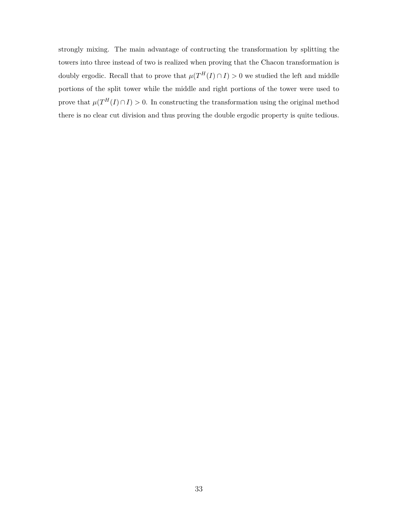strongly mixing. The main advantage of contructing the transformation by splitting the towers into three instead of two is realized when proving that the Chacon transformation is doubly ergodic. Recall that to prove that  $\mu(T^H(I) \cap I) > 0$  we studied the left and middle portions of the split tower while the middle and right portions of the tower were used to prove that  $\mu(T^H(I) \cap I) > 0$ . In constructing the transformation using the original method there is no clear cut division and thus proving the double ergodic property is quite tedious.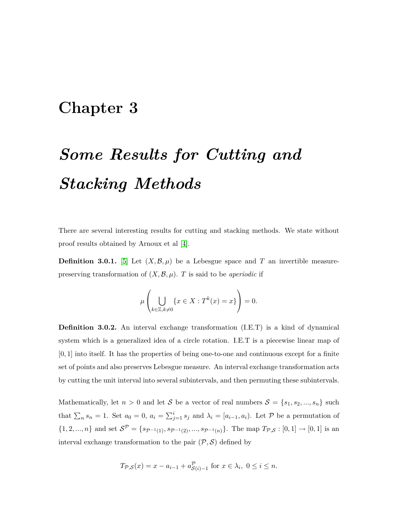## <span id="page-38-0"></span>**Chapter 3**

# *Some Results for Cutting and Stacking Methods*

There are several interesting results for cutting and stacking methods. We state without proof results obtained by Arnoux et al [\[4\]](#page-40-4).

**Definition 3.0.1.** [\[5\]](#page-40-5) Let  $(X, \mathcal{B}, \mu)$  be a Lebesgue space and T an invertible measurepreserving transformation of  $(X, \mathcal{B}, \mu)$ . *T* is said to be *aperiodic* if

$$
\mu\left(\bigcup_{k\in\mathbb{Z},k\neq 0} \{x\in X:T^k(x)=x\}\right)=0.
$$

**Definition 3.0.2.** An interval exchange transformation (I.E.T) is a kind of dynamical system which is a generalized idea of a circle rotation. I.E.T is a piecewise linear map of [0*,* 1] into itself. It has the properties of being one-to-one and continuous except for a finite set of points and also preserves Lebesgue measure. An interval exchange transformation acts by cutting the unit interval into several subintervals, and then permuting these subintervals.

Mathematically, let  $n > 0$  and let *S* be a vector of real numbers  $S = \{s_1, s_2, ..., s_n\}$  such that  $\sum_{n} s_n = 1$ . Set  $a_0 = 0$ ,  $a_i = \sum_{j=1}^{i} s_j$  and  $\lambda_i = [a_{i-1}, a_i)$ . Let P be a permutation of  $\{1, 2, ..., n\}$  and set  $\mathcal{S}^{\mathcal{P}} = \{s_{\mathcal{P}^{-1}(1)}, s_{\mathcal{P}^{-1}(2)}, ..., s_{\mathcal{P}^{-1}(n)}\}\$ . The map  $T_{\mathcal{P}, \mathcal{S}} : [0, 1] \to [0, 1]$  is an interval exchange transformation to the pair  $(\mathcal{P}, \mathcal{S})$  defined by

$$
T_{\mathcal{P},\mathcal{S}}(x) = x - a_{i-1} + a_{\mathcal{S}(i)-1}^{\mathcal{P}}
$$
 for  $x \in \lambda_i$ ,  $0 \le i \le n$ .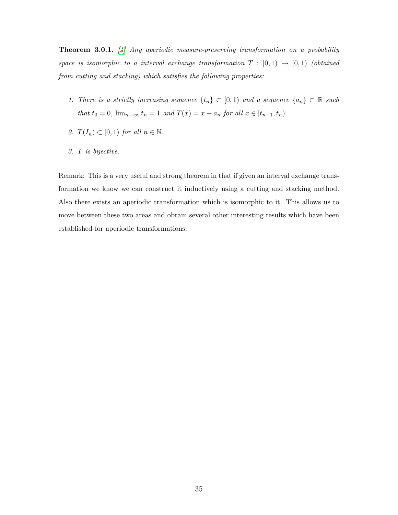**Theorem 3.0.1.** *[\[4\]](#page-40-4) Any aperiodic measure-preserving transformation on a probability space is isomorphic to a interval exchange transformation*  $T : [0,1) \rightarrow [0,1)$  (obtained *from cutting and stacking) which satisfies the following properties:*

- *1. There is a strictly increasing sequence*  $\{t_n\}$  ⊂ [0*,* 1) *and a sequence*  $\{a_n\}$  ⊂ R *such that*  $t_0 = 0$ ,  $\lim_{n \to \infty} t_n = 1$  *and*  $T(x) = x + a_n$  *for all*  $x \in [t_{n-1}, t_n)$ *.*
- 2.  $T(I_n) \subset [0,1)$  *for all*  $n \in \mathbb{N}$ .
- *3. T is bijective.*

Remark: This is a very useful and strong theorem in that if given an interval exchange transformation we know we can construct it inductively using a cutting and stacking method. Also there exists an aperiodic transformation which is isomorphic to it. This allows us to move between these two areas and obtain several other interesting results which have been established for aperiodic transformations.